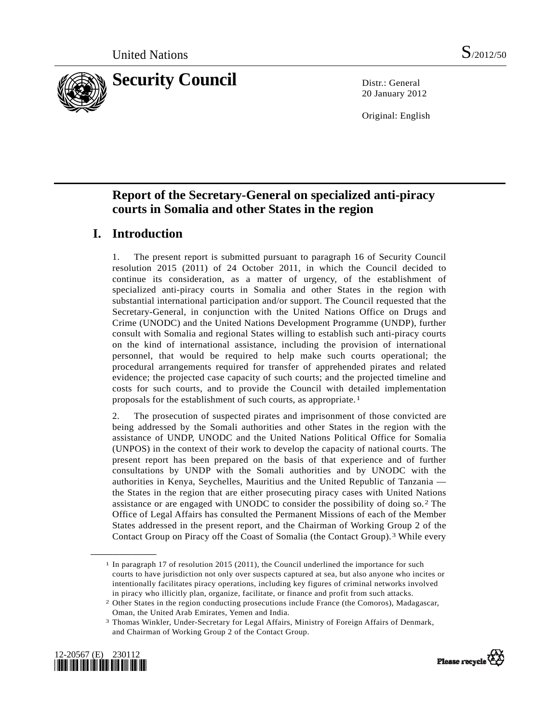

20 January 2012

Original: English

# **Report of the Secretary-General on specialized anti-piracy courts in Somalia and other States in the region**

# **I. Introduction**

1. The present report is submitted pursuant to paragraph 16 of Security Council resolution 2015 (2011) of 24 October 2011, in which the Council decided to continue its consideration, as a matter of urgency, of the establishment of specialized anti-piracy courts in Somalia and other States in the region with substantial international participation and/or support. The Council requested that the Secretary-General, in conjunction with the United Nations Office on Drugs and Crime (UNODC) and the United Nations Development Programme (UNDP), further consult with Somalia and regional States willing to establish such anti-piracy courts on the kind of international assistance, including the provision of international personnel, that would be required to help make such courts operational; the procedural arrangements required for transfer of apprehended pirates and related evidence; the projected case capacity of such courts; and the projected timeline and costs for such courts, and to provide the Council with detailed implementation proposals for the establishment of such courts, as appropriate.[1](#page-0-0)

2. The prosecution of suspected pirates and imprisonment of those convicted are being addressed by the Somali authorities and other States in the region with the assistance of UNDP, UNODC and the United Nations Political Office for Somalia (UNPOS) in the context of their work to develop the capacity of national courts. The present report has been prepared on the basis of that experience and of further consultations by UNDP with the Somali authorities and by UNODC with the authorities in Kenya, Seychelles, Mauritius and the United Republic of Tanzania the States in the region that are either prosecuting piracy cases with United Nations assistance or are engaged with UNODC to consider the possibility of doing so.[2](#page-0-1) The Office of Legal Affairs has consulted the Permanent Missions of each of the Member States addressed in the present report, and the Chairman of Working Group 2 of the Contact Group on Piracy off the Coast of Somalia (the Contact Group).[3](#page-0-2) While every

<span id="page-0-2"></span><span id="page-0-1"></span><span id="page-0-0"></span><sup>3</sup> Thomas Winkler, Under-Secretary for Legal Affairs, Ministry of Foreign Affairs of Denmark, and Chairman of Working Group 2 of the Contact Group.





<sup>1</sup> In paragraph 17 of resolution 2015 (2011), the Council underlined the importance for such courts to have jurisdiction not only over suspects captured at sea, but also anyone who incites or intentionally facilitates piracy operations, including key figures of criminal networks involved in piracy who illicitly plan, organize, facilitate, or finance and profit from such attacks.

<sup>2</sup> Other States in the region conducting prosecutions include France (the Comoros), Madagascar, Oman, the United Arab Emirates, Yemen and India.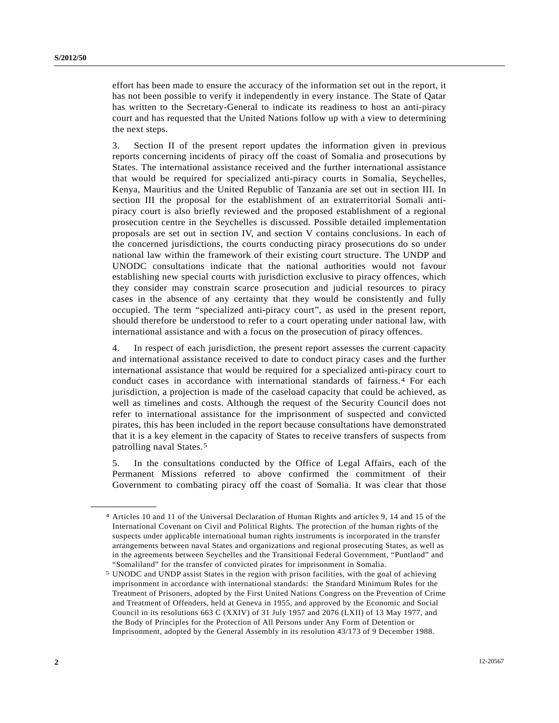effort has been made to ensure the accuracy of the information set out in the report, it has not been possible to verify it independently in every instance. The State of Qatar has written to the Secretary-General to indicate its readiness to host an anti-piracy court and has requested that the United Nations follow up with a view to determining the next steps.

3. Section II of the present report updates the information given in previous reports concerning incidents of piracy off the coast of Somalia and prosecutions by States. The international assistance received and the further international assistance that would be required for specialized anti-piracy courts in Somalia, Seychelles, Kenya, Mauritius and the United Republic of Tanzania are set out in section III. In section III the proposal for the establishment of an extraterritorial Somali antipiracy court is also briefly reviewed and the proposed establishment of a regional prosecution centre in the Seychelles is discussed. Possible detailed implementation proposals are set out in section IV, and section V contains conclusions. In each of the concerned jurisdictions, the courts conducting piracy prosecutions do so under national law within the framework of their existing court structure. The UNDP and UNODC consultations indicate that the national authorities would not favour establishing new special courts with jurisdiction exclusive to piracy offences, which they consider may constrain scarce prosecution and judicial resources to piracy cases in the absence of any certainty that they would be consistently and fully occupied. The term "specialized anti-piracy court", as used in the present report, should therefore be understood to refer to a court operating under national law, with international assistance and with a focus on the prosecution of piracy offences.

4. In respect of each jurisdiction, the present report assesses the current capacity and international assistance received to date to conduct piracy cases and the further international assistance that would be required for a specialized anti-piracy court to conduct cases in accordance with international standards of fairness.[4](#page-1-0) For each jurisdiction, a projection is made of the caseload capacity that could be achieved, as well as timelines and costs. Although the request of the Security Council does not refer to international assistance for the imprisonment of suspected and convicted pirates, this has been included in the report because consultations have demonstrated that it is a key element in the capacity of States to receive transfers of suspects from patrolling naval States.[5](#page-1-1) 

5. In the consultations conducted by the Office of Legal Affairs, each of the Permanent Missions referred to above confirmed the commitment of their Government to combating piracy off the coast of Somalia. It was clear that those

<span id="page-1-0"></span><sup>4</sup> Articles 10 and 11 of the Universal Declaration of Human Rights and articles 9, 14 and 15 of the International Covenant on Civil and Political Rights. The protection of the human rights of the suspects under applicable international human rights instruments is incorporated in the transfer arrangements between naval States and organizations and regional prosecuting States, as well as in the agreements between Seychelles and the Transitional Federal Government, "Puntland" and "Somaliland" for the transfer of convicted pirates for imprisonment in Somalia.

<span id="page-1-1"></span><sup>5</sup> UNODC and UNDP assist States in the region with prison facilities, with the goal of achieving imprisonment in accordance with international standards: the Standard Minimum Rules for the Treatment of Prisoners, adopted by the First United Nations Congress on the Prevention of Crime and Treatment of Offenders, held at Geneva in 1955, and approved by the Economic and Social Council in its resolutions 663 C (XXIV) of 31 July 1957 and 2076 (LXII) of 13 May 1977, and the Body of Principles for the Protection of All Persons under Any Form of Detention or Imprisonment, adopted by the General Assembly in its resolution 43/173 of 9 December 1988.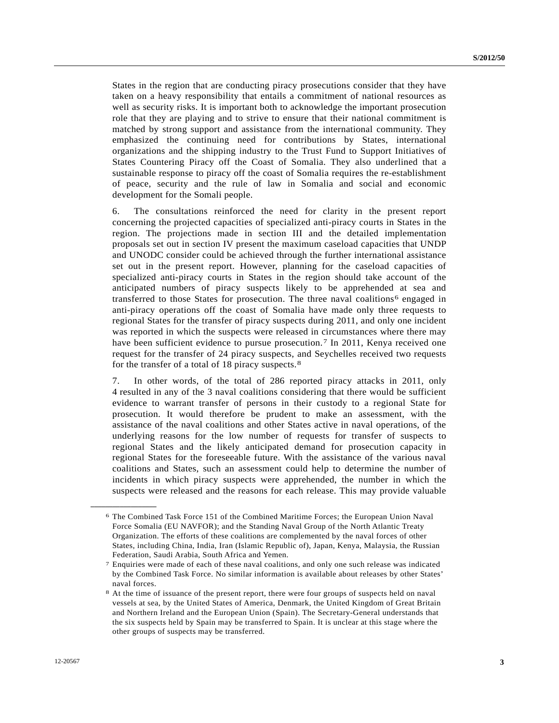States in the region that are conducting piracy prosecutions consider that they have taken on a heavy responsibility that entails a commitment of national resources as well as security risks. It is important both to acknowledge the important prosecution role that they are playing and to strive to ensure that their national commitment is matched by strong support and assistance from the international community. They emphasized the continuing need for contributions by States, international organizations and the shipping industry to the Trust Fund to Support Initiatives of States Countering Piracy off the Coast of Somalia. They also underlined that a sustainable response to piracy off the coast of Somalia requires the re-establishment of peace, security and the rule of law in Somalia and social and economic development for the Somali people.

6. The consultations reinforced the need for clarity in the present report concerning the projected capacities of specialized anti-piracy courts in States in the region. The projections made in section III and the detailed implementation proposals set out in section IV present the maximum caseload capacities that UNDP and UNODC consider could be achieved through the further international assistance set out in the present report. However, planning for the caseload capacities of specialized anti-piracy courts in States in the region should take account of the anticipated numbers of piracy suspects likely to be apprehended at sea and transferred to those States for prosecution. The three naval coalitions<sup>6</sup> engaged in anti-piracy operations off the coast of Somalia have made only three requests to regional States for the transfer of piracy suspects during 2011, and only one incident was reported in which the suspects were released in circumstances where there may have been sufficient evidence to pursue prosecution.<sup>[7](#page-2-1)</sup> In 2011, Kenya received one request for the transfer of 24 piracy suspects, and Seychelles received two requests for the transfer of a total of 18 piracy suspects.[8](#page-2-2) 

7. In other words, of the total of 286 reported piracy attacks in 2011, only 4 resulted in any of the 3 naval coalitions considering that there would be sufficient evidence to warrant transfer of persons in their custody to a regional State for prosecution. It would therefore be prudent to make an assessment, with the assistance of the naval coalitions and other States active in naval operations, of the underlying reasons for the low number of requests for transfer of suspects to regional States and the likely anticipated demand for prosecution capacity in regional States for the foreseeable future. With the assistance of the various naval coalitions and States, such an assessment could help to determine the number of incidents in which piracy suspects were apprehended, the number in which the suspects were released and the reasons for each release. This may provide valuable

<span id="page-2-0"></span><sup>6</sup> The Combined Task Force 151 of the Combined Maritime Forces; the European Union Naval Force Somalia (EU NAVFOR); and the Standing Naval Group of the North Atlantic Treaty Organization. The efforts of these coalitions are complemented by the naval forces of other States, including China, India, Iran (Islamic Republic of), Japan, Kenya, Malaysia, the Russian Federation, Saudi Arabia, South Africa and Yemen.

<span id="page-2-1"></span><sup>7</sup> Enquiries were made of each of these naval coalitions, and only one such release was indicated by the Combined Task Force. No similar information is available about releases by other States' naval forces.

<span id="page-2-2"></span><sup>8</sup> At the time of issuance of the present report, there were four groups of suspects held on naval vessels at sea, by the United States of America, Denmark, the United Kingdom of Great Britain and Northern Ireland and the European Union (Spain). The Secretary-General understands that the six suspects held by Spain may be transferred to Spain. It is unclear at this stage where the other groups of suspects may be transferred.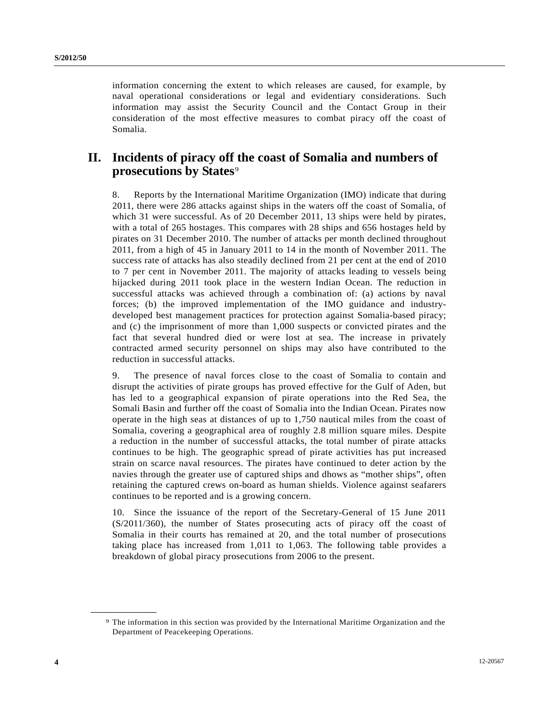information concerning the extent to which releases are caused, for example, by naval operational considerations or legal and evidentiary considerations. Such information may assist the Security Council and the Contact Group in their consideration of the most effective measures to combat piracy off the coast of Somalia.

# **II. Incidents of piracy off the coast of Somalia and numbers of prosecutions by States**<sup>[9](#page-3-0)</sup>

8. Reports by the International Maritime Organization (IMO) indicate that during 2011, there were 286 attacks against ships in the waters off the coast of Somalia, of which 31 were successful. As of 20 December 2011, 13 ships were held by pirates, with a total of 265 hostages. This compares with 28 ships and 656 hostages held by pirates on 31 December 2010. The number of attacks per month declined throughout 2011, from a high of 45 in January 2011 to 14 in the month of November 2011. The success rate of attacks has also steadily declined from 21 per cent at the end of 2010 to 7 per cent in November 2011. The majority of attacks leading to vessels being hijacked during 2011 took place in the western Indian Ocean. The reduction in successful attacks was achieved through a combination of: (a) actions by naval forces; (b) the improved implementation of the IMO guidance and industrydeveloped best management practices for protection against Somalia-based piracy; and (c) the imprisonment of more than 1,000 suspects or convicted pirates and the fact that several hundred died or were lost at sea. The increase in privately contracted armed security personnel on ships may also have contributed to the reduction in successful attacks.

9. The presence of naval forces close to the coast of Somalia to contain and disrupt the activities of pirate groups has proved effective for the Gulf of Aden, but has led to a geographical expansion of pirate operations into the Red Sea, the Somali Basin and further off the coast of Somalia into the Indian Ocean. Pirates now operate in the high seas at distances of up to 1,750 nautical miles from the coast of Somalia, covering a geographical area of roughly 2.8 million square miles. Despite a reduction in the number of successful attacks, the total number of pirate attacks continues to be high. The geographic spread of pirate activities has put increased strain on scarce naval resources. The pirates have continued to deter action by the navies through the greater use of captured ships and dhows as "mother ships", often retaining the captured crews on-board as human shields. Violence against seafarers continues to be reported and is a growing concern.

10. Since the issuance of the report of the Secretary-General of 15 June 2011 (S/2011/360), the number of States prosecuting acts of piracy off the coast of Somalia in their courts has remained at 20, and the total number of prosecutions taking place has increased from 1,011 to 1,063. The following table provides a breakdown of global piracy prosecutions from 2006 to the present.

<span id="page-3-0"></span><sup>9</sup> The information in this section was provided by the International Maritime Organization and the Department of Peacekeeping Operations.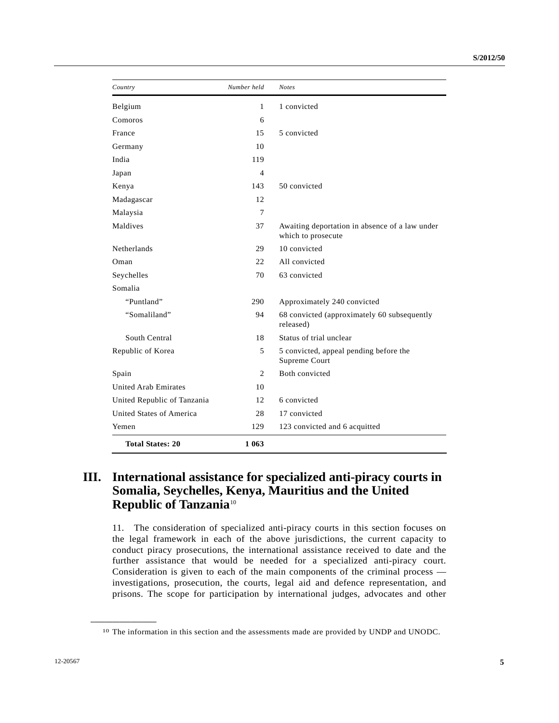| Country                     | Number held    | <b>Notes</b>                                                         |
|-----------------------------|----------------|----------------------------------------------------------------------|
| Belgium                     | $\mathbf{1}$   | 1 convicted                                                          |
| Comoros                     | 6              |                                                                      |
| France                      | 15             | 5 convicted                                                          |
| Germany                     | 10             |                                                                      |
| India                       | 119            |                                                                      |
| Japan                       | 4              |                                                                      |
| Kenya                       | 143            | 50 convicted                                                         |
| Madagascar                  | 12             |                                                                      |
| Malaysia                    | 7              |                                                                      |
| Maldives                    | 37             | Awaiting deportation in absence of a law under<br>which to prosecute |
| <b>Netherlands</b>          | 29             | 10 convicted                                                         |
| Oman                        | 22             | All convicted                                                        |
| Seychelles                  | 70             | 63 convicted                                                         |
| Somalia                     |                |                                                                      |
| "Puntland"                  | 290            | Approximately 240 convicted                                          |
| "Somaliland"                | 94             | 68 convicted (approximately 60 subsequently<br>released)             |
| South Central               | 18             | Status of trial unclear                                              |
| Republic of Korea           | 5              | 5 convicted, appeal pending before the<br>Supreme Court              |
| Spain                       | $\overline{c}$ | Both convicted                                                       |
| <b>United Arab Emirates</b> | 10             |                                                                      |
| United Republic of Tanzania | 12             | 6 convicted                                                          |
| United States of America    | 28             | 17 convicted                                                         |
| Yemen                       | 129            | 123 convicted and 6 acquitted                                        |
| <b>Total States: 20</b>     | 1 063          |                                                                      |

# **III. International assistance for specialized anti-piracy courts in Somalia, Seychelles, Kenya, Mauritius and the United Republic of Tanzania**[1](#page-4-0)0

11. The consideration of specialized anti-piracy courts in this section focuses on the legal framework in each of the above jurisdictions, the current capacity to conduct piracy prosecutions, the international assistance received to date and the further assistance that would be needed for a specialized anti-piracy court. Consideration is given to each of the main components of the criminal process investigations, prosecution, the courts, legal aid and defence representation, and prisons. The scope for participation by international judges, advocates and other

<span id="page-4-0"></span><sup>10</sup> The information in this section and the assessments made are provided by UNDP and UNODC.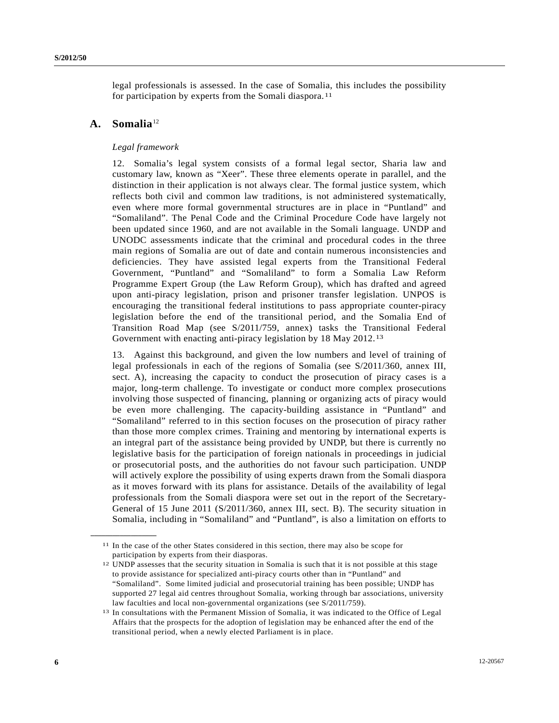legal professionals is assessed. In the case of Somalia, this includes the possibility for participation by experts from the Somali diaspora.<sup>[11](#page-5-0)</sup>

## A. Somalia<sup>[12](#page-5-1)</sup>

<span id="page-5-1"></span><span id="page-5-0"></span>**\_\_\_\_\_\_\_\_\_\_\_\_\_\_\_\_\_\_** 

## *Legal framework*

12. Somalia's legal system consists of a formal legal sector, Sharia law and customary law, known as "Xeer". These three elements operate in parallel, and the distinction in their application is not always clear. The formal justice system, which reflects both civil and common law traditions, is not administered systematically, even where more formal governmental structures are in place in "Puntland" and "Somaliland". The Penal Code and the Criminal Procedure Code have largely not been updated since 1960, and are not available in the Somali language. UNDP and UNODC assessments indicate that the criminal and procedural codes in the three main regions of Somalia are out of date and contain numerous inconsistencies and deficiencies. They have assisted legal experts from the Transitional Federal Government, "Puntland" and "Somaliland" to form a Somalia Law Reform Programme Expert Group (the Law Reform Group), which has drafted and agreed upon anti-piracy legislation, prison and prisoner transfer legislation. UNPOS is encouraging the transitional federal institutions to pass appropriate counter-piracy legislation before the end of the transitional period, and the Somalia End of Transition Road Map (see S/2011/759, annex) tasks the Transitional Federal Government with enacting anti-piracy legislation by 18 May 2012.[13](#page-5-2)

13. Against this background, and given the low numbers and level of training of legal professionals in each of the regions of Somalia (see S/2011/360, annex III, sect. A), increasing the capacity to conduct the prosecution of piracy cases is a major, long-term challenge. To investigate or conduct more complex prosecutions involving those suspected of financing, planning or organizing acts of piracy would be even more challenging. The capacity-building assistance in "Puntland" and "Somaliland" referred to in this section focuses on the prosecution of piracy rather than those more complex crimes. Training and mentoring by international experts is an integral part of the assistance being provided by UNDP, but there is currently no legislative basis for the participation of foreign nationals in proceedings in judicial or prosecutorial posts, and the authorities do not favour such participation. UNDP will actively explore the possibility of using experts drawn from the Somali diaspora as it moves forward with its plans for assistance. Details of the availability of legal professionals from the Somali diaspora were set out in the report of the Secretary-General of 15 June 2011 (S/2011/360, annex III, sect. B). The security situation in Somalia, including in "Somaliland" and "Puntland", is also a limitation on efforts to

<sup>11</sup> In the case of the other States considered in this section, there may also be scope for participation by experts from their diasporas.

<sup>12</sup> UNDP assesses that the security situation in Somalia is such that it is not possible at this stage to provide assistance for specialized anti-piracy courts other than in "Puntland" and "Somaliland". Some limited judicial and prosecutorial training has been possible; UNDP has supported 27 legal aid centres throughout Somalia, working through bar associations, university law faculties and local non-governmental organizations (see S/2011/759).

<span id="page-5-2"></span><sup>13</sup> In consultations with the Permanent Mission of Somalia, it was indicated to the Office of Legal Affairs that the prospects for the adoption of legislation may be enhanced after the end of the transitional period, when a newly elected Parliament is in place.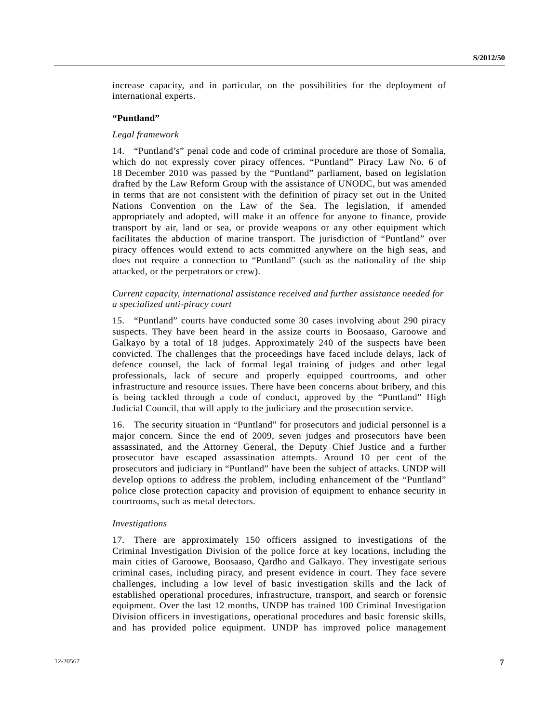increase capacity, and in particular, on the possibilities for the deployment of international experts.

## **"Puntland"**

## *Legal framework*

14. "Puntland's" penal code and code of criminal procedure are those of Somalia, which do not expressly cover piracy offences. "Puntland" Piracy Law No. 6 of 18 December 2010 was passed by the "Puntland" parliament, based on legislation drafted by the Law Reform Group with the assistance of UNODC, but was amended in terms that are not consistent with the definition of piracy set out in the United Nations Convention on the Law of the Sea. The legislation, if amended appropriately and adopted, will make it an offence for anyone to finance, provide transport by air, land or sea, or provide weapons or any other equipment which facilitates the abduction of marine transport. The jurisdiction of "Puntland" over piracy offences would extend to acts committed anywhere on the high seas, and does not require a connection to "Puntland" (such as the nationality of the ship attacked, or the perpetrators or crew).

## *Current capacity, international assistance received and further assistance needed for a specialized anti-piracy court*

15. "Puntland" courts have conducted some 30 cases involving about 290 piracy suspects. They have been heard in the assize courts in Boosaaso, Garoowe and Galkayo by a total of 18 judges. Approximately 240 of the suspects have been convicted. The challenges that the proceedings have faced include delays, lack of defence counsel, the lack of formal legal training of judges and other legal professionals, lack of secure and properly equipped courtrooms, and other infrastructure and resource issues. There have been concerns about bribery, and this is being tackled through a code of conduct, approved by the "Puntland" High Judicial Council, that will apply to the judiciary and the prosecution service.

16. The security situation in "Puntland" for prosecutors and judicial personnel is a major concern. Since the end of 2009, seven judges and prosecutors have been assassinated, and the Attorney General, the Deputy Chief Justice and a further prosecutor have escaped assassination attempts. Around 10 per cent of the prosecutors and judiciary in "Puntland" have been the subject of attacks. UNDP will develop options to address the problem, including enhancement of the "Puntland" police close protection capacity and provision of equipment to enhance security in courtrooms, such as metal detectors.

#### *Investigations*

17. There are approximately 150 officers assigned to investigations of the Criminal Investigation Division of the police force at key locations, including the main cities of Garoowe, Boosaaso, Qardho and Galkayo. They investigate serious criminal cases, including piracy, and present evidence in court. They face severe challenges, including a low level of basic investigation skills and the lack of established operational procedures, infrastructure, transport, and search or forensic equipment. Over the last 12 months, UNDP has trained 100 Criminal Investigation Division officers in investigations, operational procedures and basic forensic skills, and has provided police equipment. UNDP has improved police management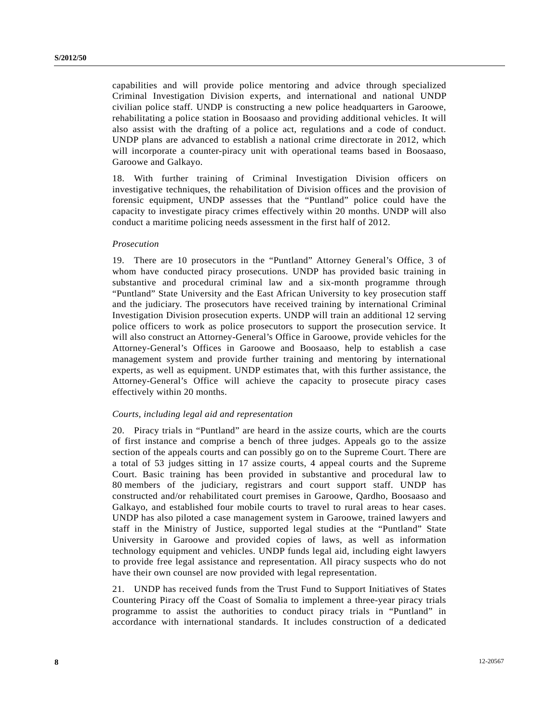capabilities and will provide police mentoring and advice through specialized Criminal Investigation Division experts, and international and national UNDP civilian police staff. UNDP is constructing a new police headquarters in Garoowe, rehabilitating a police station in Boosaaso and providing additional vehicles. It will also assist with the drafting of a police act, regulations and a code of conduct. UNDP plans are advanced to establish a national crime directorate in 2012, which will incorporate a counter-piracy unit with operational teams based in Boosaaso, Garoowe and Galkayo.

18. With further training of Criminal Investigation Division officers on investigative techniques, the rehabilitation of Division offices and the provision of forensic equipment, UNDP assesses that the "Puntland" police could have the capacity to investigate piracy crimes effectively within 20 months. UNDP will also conduct a maritime policing needs assessment in the first half of 2012.

## *Prosecution*

19. There are 10 prosecutors in the "Puntland" Attorney General's Office, 3 of whom have conducted piracy prosecutions. UNDP has provided basic training in substantive and procedural criminal law and a six-month programme through "Puntland" State University and the East African University to key prosecution staff and the judiciary. The prosecutors have received training by international Criminal Investigation Division prosecution experts. UNDP will train an additional 12 serving police officers to work as police prosecutors to support the prosecution service. It will also construct an Attorney-General's Office in Garoowe, provide vehicles for the Attorney-General's Offices in Garoowe and Boosaaso, help to establish a case management system and provide further training and mentoring by international experts, as well as equipment. UNDP estimates that, with this further assistance, the Attorney-General's Office will achieve the capacity to prosecute piracy cases effectively within 20 months.

#### *Courts, including legal aid and representation*

20. Piracy trials in "Puntland" are heard in the assize courts, which are the courts of first instance and comprise a bench of three judges. Appeals go to the assize section of the appeals courts and can possibly go on to the Supreme Court. There are a total of 53 judges sitting in 17 assize courts, 4 appeal courts and the Supreme Court. Basic training has been provided in substantive and procedural law to 80 members of the judiciary, registrars and court support staff. UNDP has constructed and/or rehabilitated court premises in Garoowe, Qardho, Boosaaso and Galkayo, and established four mobile courts to travel to rural areas to hear cases. UNDP has also piloted a case management system in Garoowe, trained lawyers and staff in the Ministry of Justice, supported legal studies at the "Puntland" State University in Garoowe and provided copies of laws, as well as information technology equipment and vehicles. UNDP funds legal aid, including eight lawyers to provide free legal assistance and representation. All piracy suspects who do not have their own counsel are now provided with legal representation.

21. UNDP has received funds from the Trust Fund to Support Initiatives of States Countering Piracy off the Coast of Somalia to implement a three-year piracy trials programme to assist the authorities to conduct piracy trials in "Puntland" in accordance with international standards. It includes construction of a dedicated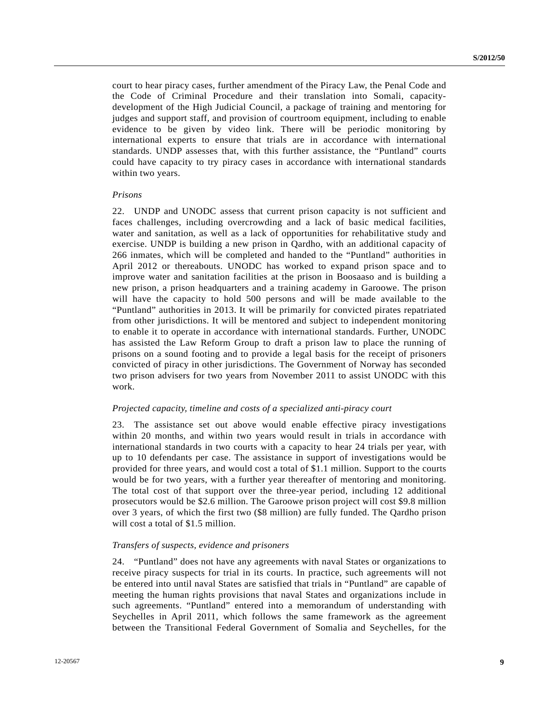court to hear piracy cases, further amendment of the Piracy Law, the Penal Code and the Code of Criminal Procedure and their translation into Somali, capacitydevelopment of the High Judicial Council, a package of training and mentoring for judges and support staff, and provision of courtroom equipment, including to enable evidence to be given by video link. There will be periodic monitoring by international experts to ensure that trials are in accordance with international standards. UNDP assesses that, with this further assistance, the "Puntland" courts could have capacity to try piracy cases in accordance with international standards within two years.

#### *Prisons*

22. UNDP and UNODC assess that current prison capacity is not sufficient and faces challenges, including overcrowding and a lack of basic medical facilities, water and sanitation, as well as a lack of opportunities for rehabilitative study and exercise. UNDP is building a new prison in Qardho, with an additional capacity of 266 inmates, which will be completed and handed to the "Puntland" authorities in April 2012 or thereabouts. UNODC has worked to expand prison space and to improve water and sanitation facilities at the prison in Boosaaso and is building a new prison, a prison headquarters and a training academy in Garoowe. The prison will have the capacity to hold 500 persons and will be made available to the "Puntland" authorities in 2013. It will be primarily for convicted pirates repatriated from other jurisdictions. It will be mentored and subject to independent monitoring to enable it to operate in accordance with international standards. Further, UNODC has assisted the Law Reform Group to draft a prison law to place the running of prisons on a sound footing and to provide a legal basis for the receipt of prisoners convicted of piracy in other jurisdictions. The Government of Norway has seconded two prison advisers for two years from November 2011 to assist UNODC with this work.

#### *Projected capacity, timeline and costs of a specialized anti-piracy court*

23. The assistance set out above would enable effective piracy investigations within 20 months, and within two years would result in trials in accordance with international standards in two courts with a capacity to hear 24 trials per year, with up to 10 defendants per case. The assistance in support of investigations would be provided for three years, and would cost a total of \$1.1 million. Support to the courts would be for two years, with a further year thereafter of mentoring and monitoring. The total cost of that support over the three-year period, including 12 additional prosecutors would be \$2.6 million. The Garoowe prison project will cost \$9.8 million over 3 years, of which the first two (\$8 million) are fully funded. The Qardho prison will cost a total of \$1.5 million.

#### *Transfers of suspects, evidence and prisoners*

24. "Puntland" does not have any agreements with naval States or organizations to receive piracy suspects for trial in its courts. In practice, such agreements will not be entered into until naval States are satisfied that trials in "Puntland" are capable of meeting the human rights provisions that naval States and organizations include in such agreements. "Puntland" entered into a memorandum of understanding with Seychelles in April 2011, which follows the same framework as the agreement between the Transitional Federal Government of Somalia and Seychelles, for the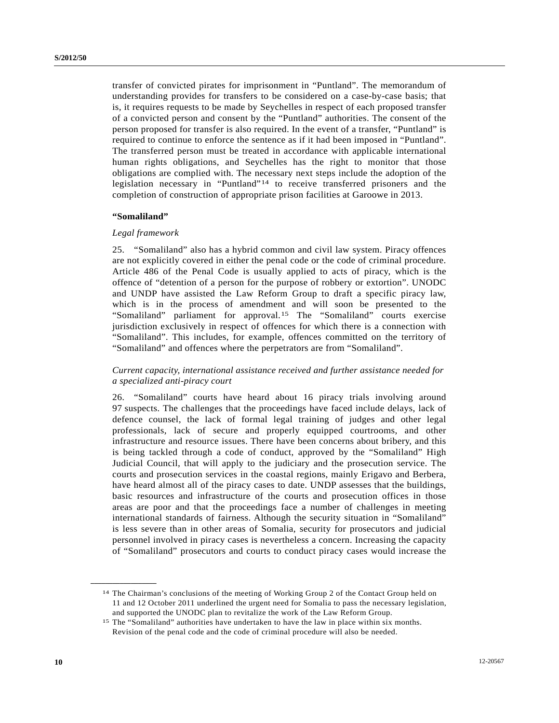transfer of convicted pirates for imprisonment in "Puntland". The memorandum of understanding provides for transfers to be considered on a case-by-case basis; that is, it requires requests to be made by Seychelles in respect of each proposed transfer of a convicted person and consent by the "Puntland" authorities. The consent of the person proposed for transfer is also required. In the event of a transfer, "Puntland" is required to continue to enforce the sentence as if it had been imposed in "Puntland". The transferred person must be treated in accordance with applicable international human rights obligations, and Seychelles has the right to monitor that those obligations are complied with. The necessary next steps include the adoption of the legislation necessary in "Puntland"[14](#page-9-0) to receive transferred prisoners and the completion of construction of appropriate prison facilities at Garoowe in 2013.

#### **"Somaliland"**

#### *Legal framework*

25. "Somaliland" also has a hybrid common and civil law system. Piracy offences are not explicitly covered in either the penal code or the code of criminal procedure. Article 486 of the Penal Code is usually applied to acts of piracy, which is the offence of "detention of a person for the purpose of robbery or extortion". UNODC and UNDP have assisted the Law Reform Group to draft a specific piracy law, which is in the process of amendment and will soon be presented to the "Somaliland" parliament for approval.[1](#page-9-1)5 The "Somaliland" courts exercise jurisdiction exclusively in respect of offences for which there is a connection with "Somaliland". This includes, for example, offences committed on the territory of "Somaliland" and offences where the perpetrators are from "Somaliland".

## *Current capacity, international assistance received and further assistance needed for a specialized anti-piracy court*

26. "Somaliland" courts have heard about 16 piracy trials involving around 97 suspects. The challenges that the proceedings have faced include delays, lack of defence counsel, the lack of formal legal training of judges and other legal professionals, lack of secure and properly equipped courtrooms, and other infrastructure and resource issues. There have been concerns about bribery, and this is being tackled through a code of conduct, approved by the "Somaliland" High Judicial Council, that will apply to the judiciary and the prosecution service. The courts and prosecution services in the coastal regions, mainly Erigavo and Berbera, have heard almost all of the piracy cases to date. UNDP assesses that the buildings, basic resources and infrastructure of the courts and prosecution offices in those areas are poor and that the proceedings face a number of challenges in meeting international standards of fairness. Although the security situation in "Somaliland" is less severe than in other areas of Somalia, security for prosecutors and judicial personnel involved in piracy cases is nevertheless a concern. Increasing the capacity of "Somaliland" prosecutors and courts to conduct piracy cases would increase the

<span id="page-9-0"></span><sup>14</sup> The Chairman's conclusions of the meeting of Working Group 2 of the Contact Group held on 11 and 12 October 2011 underlined the urgent need for Somalia to pass the necessary legislation, and supported the UNODC plan to revitalize the work of the Law Reform Group.

<span id="page-9-1"></span><sup>15</sup> The "Somaliland" authorities have undertaken to have the law in place within six months. Revision of the penal code and the code of criminal procedure will also be needed.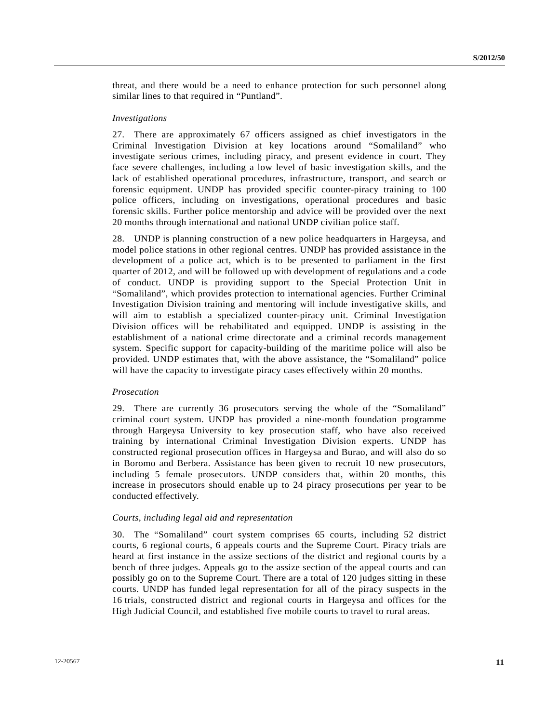threat, and there would be a need to enhance protection for such personnel along similar lines to that required in "Puntland".

#### *Investigations*

27. There are approximately 67 officers assigned as chief investigators in the Criminal Investigation Division at key locations around "Somaliland" who investigate serious crimes, including piracy, and present evidence in court. They face severe challenges, including a low level of basic investigation skills, and the lack of established operational procedures, infrastructure, transport, and search or forensic equipment. UNDP has provided specific counter-piracy training to 100 police officers, including on investigations, operational procedures and basic forensic skills. Further police mentorship and advice will be provided over the next 20 months through international and national UNDP civilian police staff.

28. UNDP is planning construction of a new police headquarters in Hargeysa, and model police stations in other regional centres. UNDP has provided assistance in the development of a police act, which is to be presented to parliament in the first quarter of 2012, and will be followed up with development of regulations and a code of conduct. UNDP is providing support to the Special Protection Unit in "Somaliland", which provides protection to international agencies. Further Criminal Investigation Division training and mentoring will include investigative skills, and will aim to establish a specialized counter-piracy unit. Criminal Investigation Division offices will be rehabilitated and equipped. UNDP is assisting in the establishment of a national crime directorate and a criminal records management system. Specific support for capacity-building of the maritime police will also be provided. UNDP estimates that, with the above assistance, the "Somaliland" police will have the capacity to investigate piracy cases effectively within 20 months.

### *Prosecution*

29. There are currently 36 prosecutors serving the whole of the "Somaliland" criminal court system. UNDP has provided a nine-month foundation programme through Hargeysa University to key prosecution staff, who have also received training by international Criminal Investigation Division experts. UNDP has constructed regional prosecution offices in Hargeysa and Burao, and will also do so in Boromo and Berbera. Assistance has been given to recruit 10 new prosecutors, including 5 female prosecutors. UNDP considers that, within 20 months, this increase in prosecutors should enable up to 24 piracy prosecutions per year to be conducted effectively.

### *Courts, including legal aid and representation*

30. The "Somaliland" court system comprises 65 courts, including 52 district courts, 6 regional courts, 6 appeals courts and the Supreme Court. Piracy trials are heard at first instance in the assize sections of the district and regional courts by a bench of three judges. Appeals go to the assize section of the appeal courts and can possibly go on to the Supreme Court. There are a total of 120 judges sitting in these courts. UNDP has funded legal representation for all of the piracy suspects in the 16 trials, constructed district and regional courts in Hargeysa and offices for the High Judicial Council, and established five mobile courts to travel to rural areas.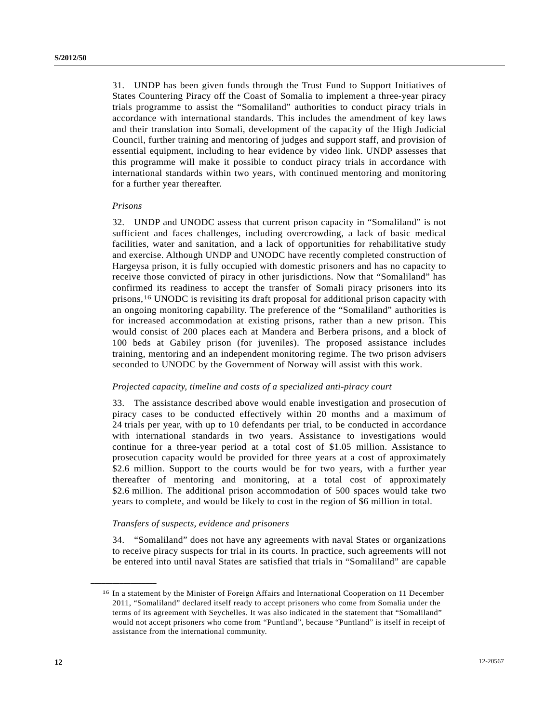31. UNDP has been given funds through the Trust Fund to Support Initiatives of States Countering Piracy off the Coast of Somalia to implement a three-year piracy trials programme to assist the "Somaliland" authorities to conduct piracy trials in accordance with international standards. This includes the amendment of key laws and their translation into Somali, development of the capacity of the High Judicial Council, further training and mentoring of judges and support staff, and provision of essential equipment, including to hear evidence by video link. UNDP assesses that this programme will make it possible to conduct piracy trials in accordance with international standards within two years, with continued mentoring and monitoring for a further year thereafter.

#### *Prisons*

<span id="page-11-0"></span>**\_\_\_\_\_\_\_\_\_\_\_\_\_\_\_\_\_\_** 

32. UNDP and UNODC assess that current prison capacity in "Somaliland" is not sufficient and faces challenges, including overcrowding, a lack of basic medical facilities, water and sanitation, and a lack of opportunities for rehabilitative study and exercise. Although UNDP and UNODC have recently completed construction of Hargeysa prison, it is fully occupied with domestic prisoners and has no capacity to receive those convicted of piracy in other jurisdictions. Now that "Somaliland" has confirmed its readiness to accept the transfer of Somali piracy prisoners into its prisons,[16](#page-11-0) UNODC is revisiting its draft proposal for additional prison capacity with an ongoing monitoring capability. The preference of the "Somaliland" authorities is for increased accommodation at existing prisons, rather than a new prison. This would consist of 200 places each at Mandera and Berbera prisons, and a block of 100 beds at Gabiley prison (for juveniles). The proposed assistance includes training, mentoring and an independent monitoring regime. The two prison advisers seconded to UNODC by the Government of Norway will assist with this work.

## *Projected capacity, timeline and costs of a specialized anti-piracy court*

33. The assistance described above would enable investigation and prosecution of piracy cases to be conducted effectively within 20 months and a maximum of 24 trials per year, with up to 10 defendants per trial, to be conducted in accordance with international standards in two years. Assistance to investigations would continue for a three-year period at a total cost of \$1.05 million. Assistance to prosecution capacity would be provided for three years at a cost of approximately \$2.6 million. Support to the courts would be for two years, with a further year thereafter of mentoring and monitoring, at a total cost of approximately \$2.6 million. The additional prison accommodation of 500 spaces would take two years to complete, and would be likely to cost in the region of \$6 million in total.

## *Transfers of suspects, evidence and prisoners*

34. "Somaliland" does not have any agreements with naval States or organizations to receive piracy suspects for trial in its courts. In practice, such agreements will not be entered into until naval States are satisfied that trials in "Somaliland" are capable

<sup>16</sup> In a statement by the Minister of Foreign Affairs and International Cooperation on 11 December 2011, "Somaliland" declared itself ready to accept prisoners who come from Somalia under the terms of its agreement with Seychelles. It was also indicated in the statement that "Somaliland" would not accept prisoners who come from "Puntland", because "Puntland" is itself in receipt of assistance from the international community.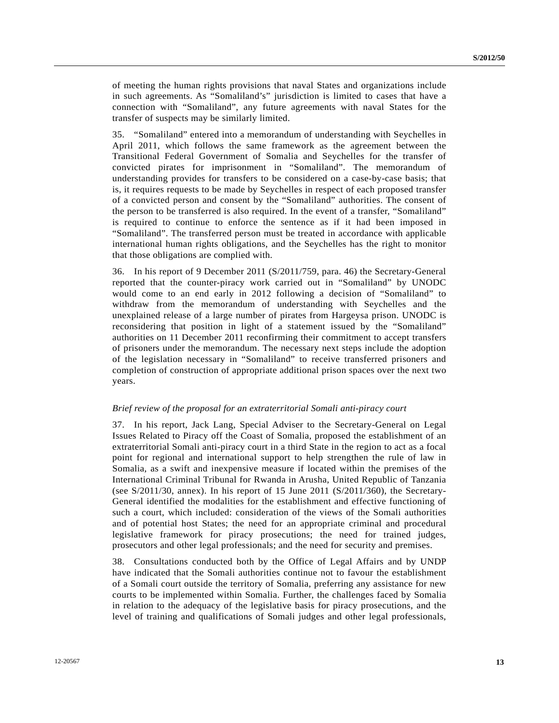of meeting the human rights provisions that naval States and organizations include in such agreements. As "Somaliland's" jurisdiction is limited to cases that have a connection with "Somaliland", any future agreements with naval States for the transfer of suspects may be similarly limited.

35. "Somaliland" entered into a memorandum of understanding with Seychelles in April 2011, which follows the same framework as the agreement between the Transitional Federal Government of Somalia and Seychelles for the transfer of convicted pirates for imprisonment in "Somaliland". The memorandum of understanding provides for transfers to be considered on a case-by-case basis; that is, it requires requests to be made by Seychelles in respect of each proposed transfer of a convicted person and consent by the "Somaliland" authorities. The consent of the person to be transferred is also required. In the event of a transfer, "Somaliland" is required to continue to enforce the sentence as if it had been imposed in "Somaliland". The transferred person must be treated in accordance with applicable international human rights obligations, and the Seychelles has the right to monitor that those obligations are complied with.

36. In his report of 9 December 2011 (S/2011/759, para. 46) the Secretary-General reported that the counter-piracy work carried out in "Somaliland" by UNODC would come to an end early in 2012 following a decision of "Somaliland" to withdraw from the memorandum of understanding with Seychelles and the unexplained release of a large number of pirates from Hargeysa prison. UNODC is reconsidering that position in light of a statement issued by the "Somaliland" authorities on 11 December 2011 reconfirming their commitment to accept transfers of prisoners under the memorandum. The necessary next steps include the adoption of the legislation necessary in "Somaliland" to receive transferred prisoners and completion of construction of appropriate additional prison spaces over the next two years.

## *Brief review of the proposal for an extraterritorial Somali anti-piracy court*

37. In his report, Jack Lang, Special Adviser to the Secretary-General on Legal Issues Related to Piracy off the Coast of Somalia, proposed the establishment of an extraterritorial Somali anti-piracy court in a third State in the region to act as a focal point for regional and international support to help strengthen the rule of law in Somalia, as a swift and inexpensive measure if located within the premises of the International Criminal Tribunal for Rwanda in Arusha, United Republic of Tanzania (see S/2011/30, annex). In his report of 15 June 2011 (S/2011/360), the Secretary-General identified the modalities for the establishment and effective functioning of such a court, which included: consideration of the views of the Somali authorities and of potential host States; the need for an appropriate criminal and procedural legislative framework for piracy prosecutions; the need for trained judges, prosecutors and other legal professionals; and the need for security and premises.

38. Consultations conducted both by the Office of Legal Affairs and by UNDP have indicated that the Somali authorities continue not to favour the establishment of a Somali court outside the territory of Somalia, preferring any assistance for new courts to be implemented within Somalia. Further, the challenges faced by Somalia in relation to the adequacy of the legislative basis for piracy prosecutions, and the level of training and qualifications of Somali judges and other legal professionals,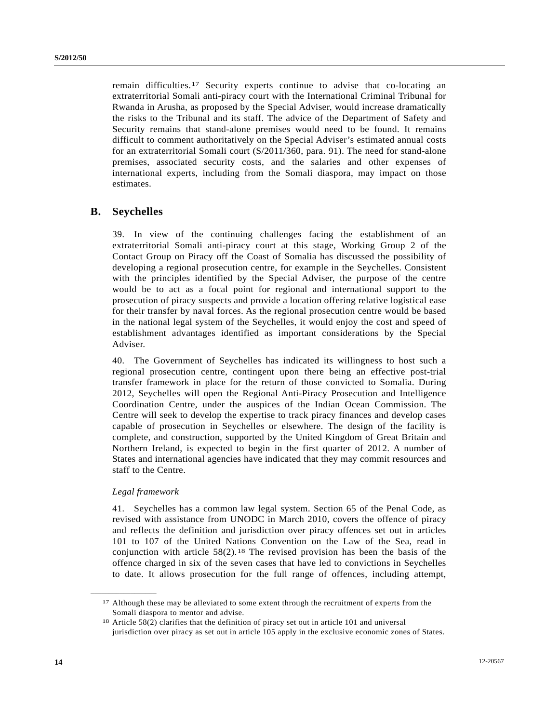remain difficulties.[1](#page-13-0)7 Security experts continue to advise that co-locating an extraterritorial Somali anti-piracy court with the International Criminal Tribunal for Rwanda in Arusha, as proposed by the Special Adviser, would increase dramatically the risks to the Tribunal and its staff. The advice of the Department of Safety and Security remains that stand-alone premises would need to be found. It remains difficult to comment authoritatively on the Special Adviser's estimated annual costs for an extraterritorial Somali court (S/2011/360, para. 91). The need for stand-alone premises, associated security costs, and the salaries and other expenses of international experts, including from the Somali diaspora, may impact on those estimates.

## **B. Seychelles**

39. In view of the continuing challenges facing the establishment of an extraterritorial Somali anti-piracy court at this stage, Working Group 2 of the Contact Group on Piracy off the Coast of Somalia has discussed the possibility of developing a regional prosecution centre, for example in the Seychelles. Consistent with the principles identified by the Special Adviser, the purpose of the centre would be to act as a focal point for regional and international support to the prosecution of piracy suspects and provide a location offering relative logistical ease for their transfer by naval forces. As the regional prosecution centre would be based in the national legal system of the Seychelles, it would enjoy the cost and speed of establishment advantages identified as important considerations by the Special Adviser.

40. The Government of Seychelles has indicated its willingness to host such a regional prosecution centre, contingent upon there being an effective post-trial transfer framework in place for the return of those convicted to Somalia. During 2012, Seychelles will open the Regional Anti-Piracy Prosecution and Intelligence Coordination Centre, under the auspices of the Indian Ocean Commission. The Centre will seek to develop the expertise to track piracy finances and develop cases capable of prosecution in Seychelles or elsewhere. The design of the facility is complete, and construction, supported by the United Kingdom of Great Britain and Northern Ireland, is expected to begin in the first quarter of 2012. A number of States and international agencies have indicated that they may commit resources and staff to the Centre.

## *Legal framework*

<span id="page-13-1"></span><span id="page-13-0"></span>**\_\_\_\_\_\_\_\_\_\_\_\_\_\_\_\_\_\_** 

41. Seychelles has a common law legal system. Section 65 of the Penal Code, as revised with assistance from UNODC in March 2010, covers the offence of piracy and reflects the definition and jurisdiction over piracy offences set out in articles 101 to 107 of the United Nations Convention on the Law of the Sea, read in conjunction with article  $58(2)$ .<sup>[1](#page-13-1)8</sup> The revised provision has been the basis of the offence charged in six of the seven cases that have led to convictions in Seychelles to date. It allows prosecution for the full range of offences, including attempt,

<sup>&</sup>lt;sup>17</sup> Although these may be alleviated to some extent through the recruitment of experts from the Somali diaspora to mentor and advise.

<sup>18</sup> Article 58(2) clarifies that the definition of piracy set out in article 101 and universal jurisdiction over piracy as set out in article 105 apply in the exclusive economic zones of States.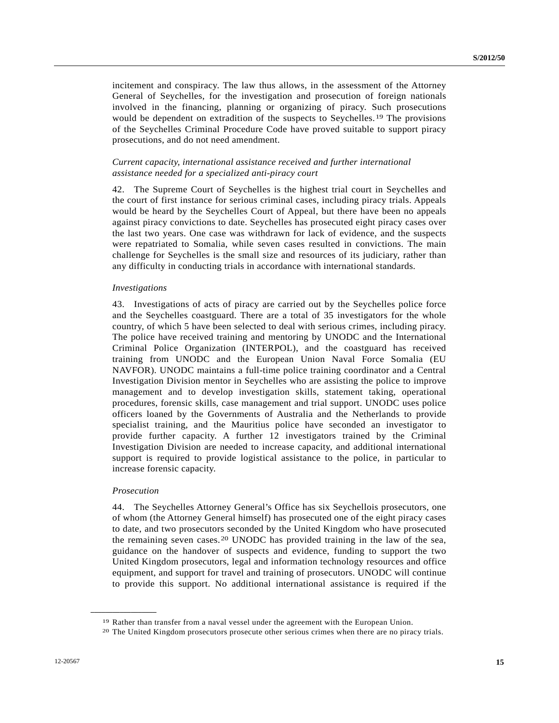incitement and conspiracy. The law thus allows, in the assessment of the Attorney General of Seychelles, for the investigation and prosecution of foreign nationals involved in the financing, planning or organizing of piracy. Such prosecutions would be dependent on extradition of the suspects to Seychelles.[19](#page-14-0) The provisions of the Seychelles Criminal Procedure Code have proved suitable to support piracy prosecutions, and do not need amendment.

## *Current capacity, international assistance received and further international assistance needed for a specialized anti-piracy court*

42. The Supreme Court of Seychelles is the highest trial court in Seychelles and the court of first instance for serious criminal cases, including piracy trials. Appeals would be heard by the Seychelles Court of Appeal, but there have been no appeals against piracy convictions to date. Seychelles has prosecuted eight piracy cases over the last two years. One case was withdrawn for lack of evidence, and the suspects were repatriated to Somalia, while seven cases resulted in convictions. The main challenge for Seychelles is the small size and resources of its judiciary, rather than any difficulty in conducting trials in accordance with international standards.

#### *Investigations*

43. Investigations of acts of piracy are carried out by the Seychelles police force and the Seychelles coastguard. There are a total of 35 investigators for the whole country, of which 5 have been selected to deal with serious crimes, including piracy. The police have received training and mentoring by UNODC and the International Criminal Police Organization (INTERPOL), and the coastguard has received training from UNODC and the European Union Naval Force Somalia (EU NAVFOR). UNODC maintains a full-time police training coordinator and a Central Investigation Division mentor in Seychelles who are assisting the police to improve management and to develop investigation skills, statement taking, operational procedures, forensic skills, case management and trial support. UNODC uses police officers loaned by the Governments of Australia and the Netherlands to provide specialist training, and the Mauritius police have seconded an investigator to provide further capacity. A further 12 investigators trained by the Criminal Investigation Division are needed to increase capacity, and additional international support is required to provide logistical assistance to the police, in particular to increase forensic capacity.

## *Prosecution*

<span id="page-14-1"></span><span id="page-14-0"></span>**\_\_\_\_\_\_\_\_\_\_\_\_\_\_\_\_\_\_** 

44. The Seychelles Attorney General's Office has six Seychellois prosecutors, one of whom (the Attorney General himself) has prosecuted one of the eight piracy cases to date, and two prosecutors seconded by the United Kingdom who have prosecuted the remaining seven cases.[2](#page-14-1)0 UNODC has provided training in the law of the sea, guidance on the handover of suspects and evidence, funding to support the two United Kingdom prosecutors, legal and information technology resources and office equipment, and support for travel and training of prosecutors. UNODC will continue to provide this support. No additional international assistance is required if the

<sup>&</sup>lt;sup>19</sup> Rather than transfer from a naval vessel under the agreement with the European Union.<br><sup>20</sup> The United Kingdom prosecutors prosecute other serious crimes when there are no piracy trials.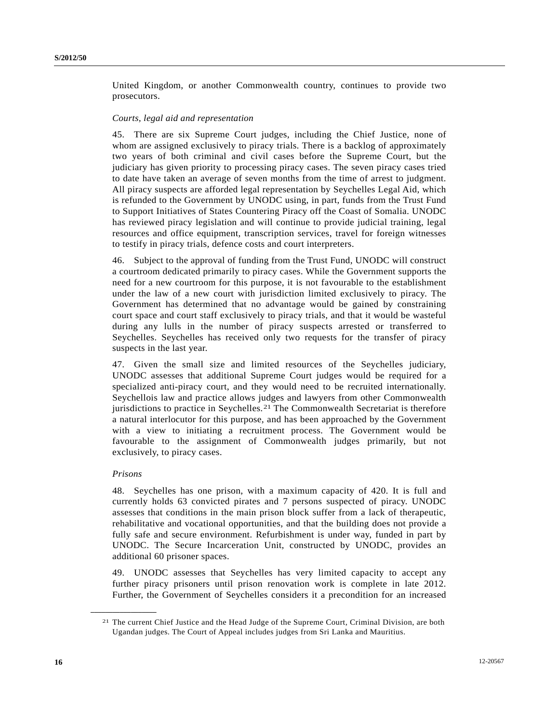United Kingdom, or another Commonwealth country, continues to provide two prosecutors.

## *Courts, legal aid and representation*

45. There are six Supreme Court judges, including the Chief Justice, none of whom are assigned exclusively to piracy trials. There is a backlog of approximately two years of both criminal and civil cases before the Supreme Court, but the judiciary has given priority to processing piracy cases. The seven piracy cases tried to date have taken an average of seven months from the time of arrest to judgment. All piracy suspects are afforded legal representation by Seychelles Legal Aid, which is refunded to the Government by UNODC using, in part, funds from the Trust Fund to Support Initiatives of States Countering Piracy off the Coast of Somalia. UNODC has reviewed piracy legislation and will continue to provide judicial training, legal resources and office equipment, transcription services, travel for foreign witnesses to testify in piracy trials, defence costs and court interpreters.

46. Subject to the approval of funding from the Trust Fund, UNODC will construct a courtroom dedicated primarily to piracy cases. While the Government supports the need for a new courtroom for this purpose, it is not favourable to the establishment under the law of a new court with jurisdiction limited exclusively to piracy. The Government has determined that no advantage would be gained by constraining court space and court staff exclusively to piracy trials, and that it would be wasteful during any lulls in the number of piracy suspects arrested or transferred to Seychelles. Seychelles has received only two requests for the transfer of piracy suspects in the last year.

47. Given the small size and limited resources of the Seychelles judiciary, UNODC assesses that additional Supreme Court judges would be required for a specialized anti-piracy court, and they would need to be recruited internationally. Seychellois law and practice allows judges and lawyers from other Commonwealth jurisdictions to practice in Seychelles.[21](#page-15-0) The Commonwealth Secretariat is therefore a natural interlocutor for this purpose, and has been approached by the Government with a view to initiating a recruitment process. The Government would be favourable to the assignment of Commonwealth judges primarily, but not exclusively, to piracy cases.

### *Prisons*

<span id="page-15-0"></span>**\_\_\_\_\_\_\_\_\_\_\_\_\_\_\_\_\_\_** 

48. Seychelles has one prison, with a maximum capacity of 420. It is full and currently holds 63 convicted pirates and 7 persons suspected of piracy. UNODC assesses that conditions in the main prison block suffer from a lack of therapeutic, rehabilitative and vocational opportunities, and that the building does not provide a fully safe and secure environment. Refurbishment is under way, funded in part by UNODC. The Secure Incarceration Unit, constructed by UNODC, provides an additional 60 prisoner spaces.

49. UNODC assesses that Seychelles has very limited capacity to accept any further piracy prisoners until prison renovation work is complete in late 2012. Further, the Government of Seychelles considers it a precondition for an increased

<sup>21</sup> The current Chief Justice and the Head Judge of the Supreme Court, Criminal Division, are both Ugandan judges. The Court of Appeal includes judges from Sri Lanka and Mauritius.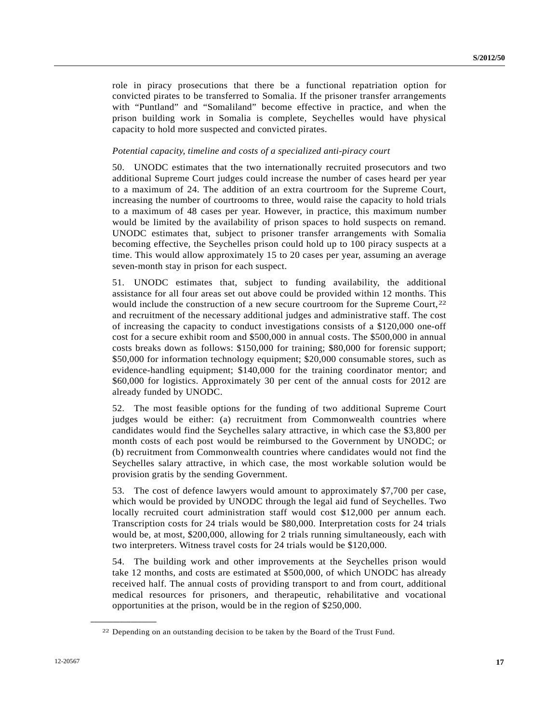role in piracy prosecutions that there be a functional repatriation option for convicted pirates to be transferred to Somalia. If the prisoner transfer arrangements with "Puntland" and "Somaliland" become effective in practice, and when the prison building work in Somalia is complete, Seychelles would have physical capacity to hold more suspected and convicted pirates.

## *Potential capacity, timeline and costs of a specialized anti-piracy court*

50. UNODC estimates that the two internationally recruited prosecutors and two additional Supreme Court judges could increase the number of cases heard per year to a maximum of 24. The addition of an extra courtroom for the Supreme Court, increasing the number of courtrooms to three, would raise the capacity to hold trials to a maximum of 48 cases per year. However, in practice, this maximum number would be limited by the availability of prison spaces to hold suspects on remand. UNODC estimates that, subject to prisoner transfer arrangements with Somalia becoming effective, the Seychelles prison could hold up to 100 piracy suspects at a time. This would allow approximately 15 to 20 cases per year, assuming an average seven-month stay in prison for each suspect.

51. UNODC estimates that, subject to funding availability, the additional assistance for all four areas set out above could be provided within 12 months. This would include the construction of a new secure courtroom for the Supreme Court,<sup>[22](#page-16-0)</sup> and recruitment of the necessary additional judges and administrative staff. The cost of increasing the capacity to conduct investigations consists of a \$120,000 one-off cost for a secure exhibit room and \$500,000 in annual costs. The \$500,000 in annual costs breaks down as follows: \$150,000 for training; \$80,000 for forensic support; \$50,000 for information technology equipment; \$20,000 consumable stores, such as evidence-handling equipment; \$140,000 for the training coordinator mentor; and \$60,000 for logistics. Approximately 30 per cent of the annual costs for 2012 are already funded by UNODC.

52. The most feasible options for the funding of two additional Supreme Court judges would be either: (a) recruitment from Commonwealth countries where candidates would find the Seychelles salary attractive, in which case the \$3,800 per month costs of each post would be reimbursed to the Government by UNODC; or (b) recruitment from Commonwealth countries where candidates would not find the Seychelles salary attractive, in which case, the most workable solution would be provision gratis by the sending Government.

53. The cost of defence lawyers would amount to approximately \$7,700 per case, which would be provided by UNODC through the legal aid fund of Seychelles. Two locally recruited court administration staff would cost \$12,000 per annum each. Transcription costs for 24 trials would be \$80,000. Interpretation costs for 24 trials would be, at most, \$200,000, allowing for 2 trials running simultaneously, each with two interpreters. Witness travel costs for 24 trials would be \$120,000.

54. The building work and other improvements at the Seychelles prison would take 12 months, and costs are estimated at \$500,000, of which UNODC has already received half. The annual costs of providing transport to and from court, additional medical resources for prisoners, and therapeutic, rehabilitative and vocational opportunities at the prison, would be in the region of \$250,000.

<span id="page-16-0"></span><sup>22</sup> Depending on an outstanding decision to be taken by the Board of the Trust Fund.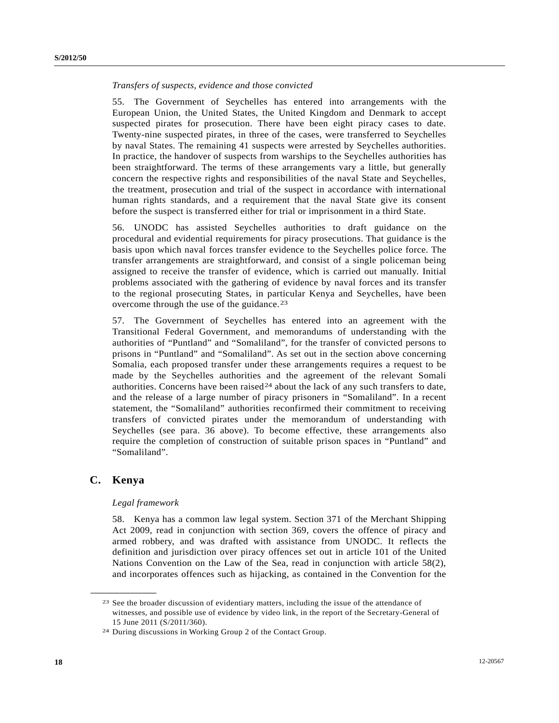## *Transfers of suspects, evidence and those convicted*

55. The Government of Seychelles has entered into arrangements with the European Union, the United States, the United Kingdom and Denmark to accept suspected pirates for prosecution. There have been eight piracy cases to date. Twenty-nine suspected pirates, in three of the cases, were transferred to Seychelles by naval States. The remaining 41 suspects were arrested by Seychelles authorities. In practice, the handover of suspects from warships to the Seychelles authorities has been straightforward. The terms of these arrangements vary a little, but generally concern the respective rights and responsibilities of the naval State and Seychelles, the treatment, prosecution and trial of the suspect in accordance with international human rights standards, and a requirement that the naval State give its consent before the suspect is transferred either for trial or imprisonment in a third State.

56. UNODC has assisted Seychelles authorities to draft guidance on the procedural and evidential requirements for piracy prosecutions. That guidance is the basis upon which naval forces transfer evidence to the Seychelles police force. The transfer arrangements are straightforward, and consist of a single policeman being assigned to receive the transfer of evidence, which is carried out manually. Initial problems associated with the gathering of evidence by naval forces and its transfer to the regional prosecuting States, in particular Kenya and Seychelles, have been overcome through the use of the guidance.<sup>[2](#page-17-0)3</sup>

57. The Government of Seychelles has entered into an agreement with the Transitional Federal Government, and memorandums of understanding with the authorities of "Puntland" and "Somaliland", for the transfer of convicted persons to prisons in "Puntland" and "Somaliland". As set out in the section above concerning Somalia, each proposed transfer under these arrangements requires a request to be made by the Seychelles authorities and the agreement of the relevant Somali authorities. Concerns have been raised<sup>[2](#page-17-1)4</sup> about the lack of any such transfers to date, and the release of a large number of piracy prisoners in "Somaliland". In a recent statement, the "Somaliland" authorities reconfirmed their commitment to receiving transfers of convicted pirates under the memorandum of understanding with Seychelles (see para. 36 above). To become effective, these arrangements also require the completion of construction of suitable prison spaces in "Puntland" and "Somaliland".

## **C. Kenya**

<span id="page-17-1"></span><span id="page-17-0"></span>**\_\_\_\_\_\_\_\_\_\_\_\_\_\_\_\_\_\_** 

#### *Legal framework*

58. Kenya has a common law legal system. Section 371 of the Merchant Shipping Act 2009, read in conjunction with section 369, covers the offence of piracy and armed robbery, and was drafted with assistance from UNODC. It reflects the definition and jurisdiction over piracy offences set out in article 101 of the United Nations Convention on the Law of the Sea, read in conjunction with article 58(2), and incorporates offences such as hijacking, as contained in the Convention for the

<sup>23</sup> See the broader discussion of evidentiary matters, including the issue of the attendance of witnesses, and possible use of evidence by video link, in the report of the Secretary-General of 15 June 2011 (S/2011/360).

<sup>24</sup> During discussions in Working Group 2 of the Contact Group.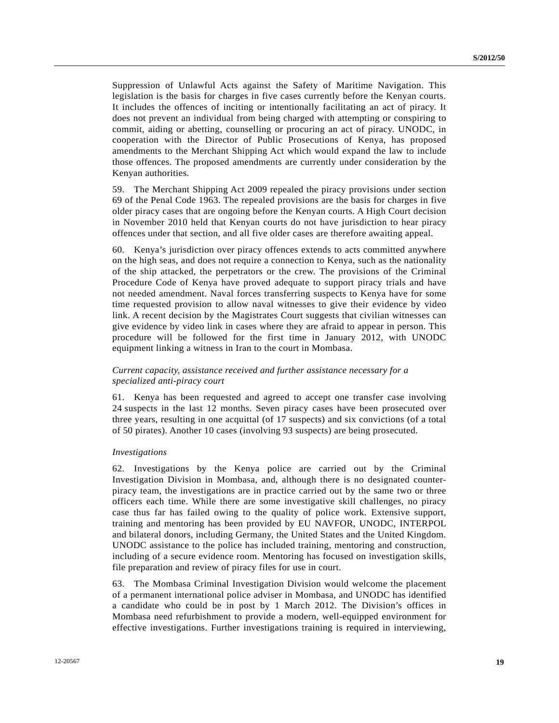Suppression of Unlawful Acts against the Safety of Maritime Navigation. This legislation is the basis for charges in five cases currently before the Kenyan courts. It includes the offences of inciting or intentionally facilitating an act of piracy. It does not prevent an individual from being charged with attempting or conspiring to commit, aiding or abetting, counselling or procuring an act of piracy. UNODC, in cooperation with the Director of Public Prosecutions of Kenya, has proposed amendments to the Merchant Shipping Act which would expand the law to include those offences. The proposed amendments are currently under consideration by the Kenyan authorities.

59. The Merchant Shipping Act 2009 repealed the piracy provisions under section 69 of the Penal Code 1963. The repealed provisions are the basis for charges in five older piracy cases that are ongoing before the Kenyan courts. A High Court decision in November 2010 held that Kenyan courts do not have jurisdiction to hear piracy offences under that section, and all five older cases are therefore awaiting appeal.

60. Kenya's jurisdiction over piracy offences extends to acts committed anywhere on the high seas, and does not require a connection to Kenya, such as the nationality of the ship attacked, the perpetrators or the crew. The provisions of the Criminal Procedure Code of Kenya have proved adequate to support piracy trials and have not needed amendment. Naval forces transferring suspects to Kenya have for some time requested provision to allow naval witnesses to give their evidence by video link. A recent decision by the Magistrates Court suggests that civilian witnesses can give evidence by video link in cases where they are afraid to appear in person. This procedure will be followed for the first time in January 2012, with UNODC equipment linking a witness in Iran to the court in Mombasa.

## *Current capacity, assistance received and further assistance necessary for a specialized anti-piracy court*

61. Kenya has been requested and agreed to accept one transfer case involving 24 suspects in the last 12 months. Seven piracy cases have been prosecuted over three years, resulting in one acquittal (of 17 suspects) and six convictions (of a total of 50 pirates). Another 10 cases (involving 93 suspects) are being prosecuted.

## *Investigations*

62. Investigations by the Kenya police are carried out by the Criminal Investigation Division in Mombasa, and, although there is no designated counterpiracy team, the investigations are in practice carried out by the same two or three officers each time. While there are some investigative skill challenges, no piracy case thus far has failed owing to the quality of police work. Extensive support, training and mentoring has been provided by EU NAVFOR, UNODC, INTERPOL and bilateral donors, including Germany, the United States and the United Kingdom. UNODC assistance to the police has included training, mentoring and construction, including of a secure evidence room. Mentoring has focused on investigation skills, file preparation and review of piracy files for use in court.

63. The Mombasa Criminal Investigation Division would welcome the placement of a permanent international police adviser in Mombasa, and UNODC has identified a candidate who could be in post by 1 March 2012. The Division's offices in Mombasa need refurbishment to provide a modern, well-equipped environment for effective investigations. Further investigations training is required in interviewing,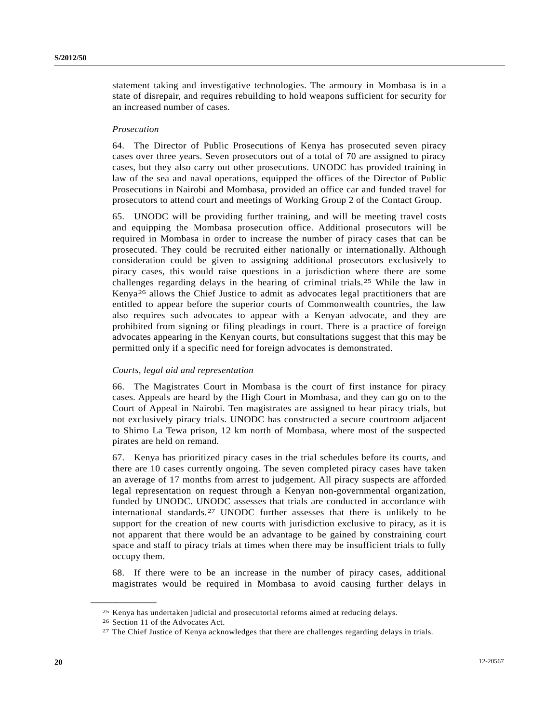statement taking and investigative technologies. The armoury in Mombasa is in a state of disrepair, and requires rebuilding to hold weapons sufficient for security for an increased number of cases.

## *Prosecution*

64. The Director of Public Prosecutions of Kenya has prosecuted seven piracy cases over three years. Seven prosecutors out of a total of 70 are assigned to piracy cases, but they also carry out other prosecutions. UNODC has provided training in law of the sea and naval operations, equipped the offices of the Director of Public Prosecutions in Nairobi and Mombasa, provided an office car and funded travel for prosecutors to attend court and meetings of Working Group 2 of the Contact Group.

65. UNODC will be providing further training, and will be meeting travel costs and equipping the Mombasa prosecution office. Additional prosecutors will be required in Mombasa in order to increase the number of piracy cases that can be prosecuted. They could be recruited either nationally or internationally. Although consideration could be given to assigning additional prosecutors exclusively to piracy cases, this would raise questions in a jurisdiction where there are some challenges regarding delays in the hearing of criminal trials.[25](#page-19-0) While the law in Kenya[26](#page-19-1) allows the Chief Justice to admit as advocates legal practitioners that are entitled to appear before the superior courts of Commonwealth countries, the law also requires such advocates to appear with a Kenyan advocate, and they are prohibited from signing or filing pleadings in court. There is a practice of foreign advocates appearing in the Kenyan courts, but consultations suggest that this may be permitted only if a specific need for foreign advocates is demonstrated.

## *Courts, legal aid and representation*

66. The Magistrates Court in Mombasa is the court of first instance for piracy cases. Appeals are heard by the High Court in Mombasa, and they can go on to the Court of Appeal in Nairobi. Ten magistrates are assigned to hear piracy trials, but not exclusively piracy trials. UNODC has constructed a secure courtroom adjacent to Shimo La Tewa prison, 12 km north of Mombasa, where most of the suspected pirates are held on remand.

67. Kenya has prioritized piracy cases in the trial schedules before its courts, and there are 10 cases currently ongoing. The seven completed piracy cases have taken an average of 17 months from arrest to judgement. All piracy suspects are afforded legal representation on request through a Kenyan non-governmental organization, funded by UNODC. UNODC assesses that trials are conducted in accordance with international standards.[27](#page-19-2) UNODC further assesses that there is unlikely to be support for the creation of new courts with jurisdiction exclusive to piracy, as it is not apparent that there would be an advantage to be gained by constraining court space and staff to piracy trials at times when there may be insufficient trials to fully occupy them.

68. If there were to be an increase in the number of piracy cases, additional magistrates would be required in Mombasa to avoid causing further delays in

<span id="page-19-1"></span><span id="page-19-0"></span><sup>25</sup> Kenya has undertaken judicial and prosecutorial reforms aimed at reducing delays. 26 Section 11 of the Advocates Act.

<span id="page-19-2"></span><sup>27</sup> The Chief Justice of Kenya acknowledges that there are challenges regarding delays in trials.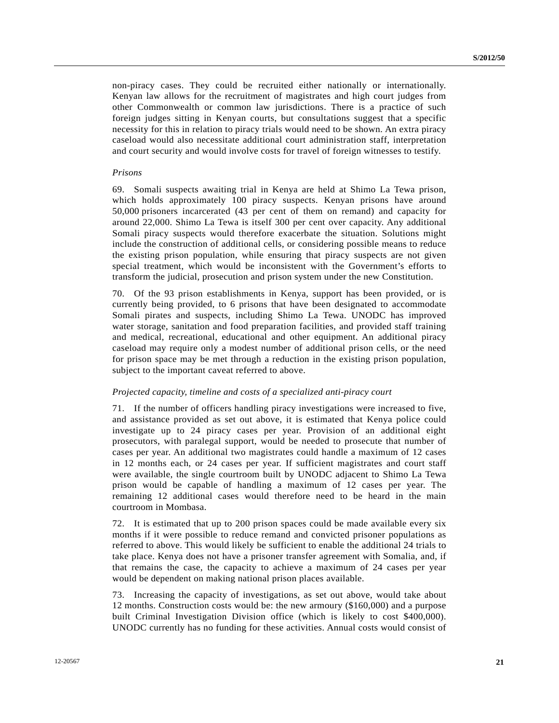non-piracy cases. They could be recruited either nationally or internationally. Kenyan law allows for the recruitment of magistrates and high court judges from other Commonwealth or common law jurisdictions. There is a practice of such foreign judges sitting in Kenyan courts, but consultations suggest that a specific necessity for this in relation to piracy trials would need to be shown. An extra piracy caseload would also necessitate additional court administration staff, interpretation and court security and would involve costs for travel of foreign witnesses to testify.

#### *Prisons*

69. Somali suspects awaiting trial in Kenya are held at Shimo La Tewa prison, which holds approximately 100 piracy suspects. Kenyan prisons have around 50,000 prisoners incarcerated (43 per cent of them on remand) and capacity for around 22,000. Shimo La Tewa is itself 300 per cent over capacity. Any additional Somali piracy suspects would therefore exacerbate the situation. Solutions might include the construction of additional cells, or considering possible means to reduce the existing prison population, while ensuring that piracy suspects are not given special treatment, which would be inconsistent with the Government's efforts to transform the judicial, prosecution and prison system under the new Constitution.

70. Of the 93 prison establishments in Kenya, support has been provided, or is currently being provided, to 6 prisons that have been designated to accommodate Somali pirates and suspects, including Shimo La Tewa. UNODC has improved water storage, sanitation and food preparation facilities, and provided staff training and medical, recreational, educational and other equipment. An additional piracy caseload may require only a modest number of additional prison cells, or the need for prison space may be met through a reduction in the existing prison population, subject to the important caveat referred to above.

### *Projected capacity, timeline and costs of a specialized anti-piracy court*

71. If the number of officers handling piracy investigations were increased to five, and assistance provided as set out above, it is estimated that Kenya police could investigate up to 24 piracy cases per year. Provision of an additional eight prosecutors, with paralegal support, would be needed to prosecute that number of cases per year. An additional two magistrates could handle a maximum of 12 cases in 12 months each, or 24 cases per year. If sufficient magistrates and court staff were available, the single courtroom built by UNODC adjacent to Shimo La Tewa prison would be capable of handling a maximum of 12 cases per year. The remaining 12 additional cases would therefore need to be heard in the main courtroom in Mombasa.

72. It is estimated that up to 200 prison spaces could be made available every six months if it were possible to reduce remand and convicted prisoner populations as referred to above. This would likely be sufficient to enable the additional 24 trials to take place. Kenya does not have a prisoner transfer agreement with Somalia, and, if that remains the case, the capacity to achieve a maximum of 24 cases per year would be dependent on making national prison places available.

73. Increasing the capacity of investigations, as set out above, would take about 12 months. Construction costs would be: the new armoury (\$160,000) and a purpose built Criminal Investigation Division office (which is likely to cost \$400,000). UNODC currently has no funding for these activities. Annual costs would consist of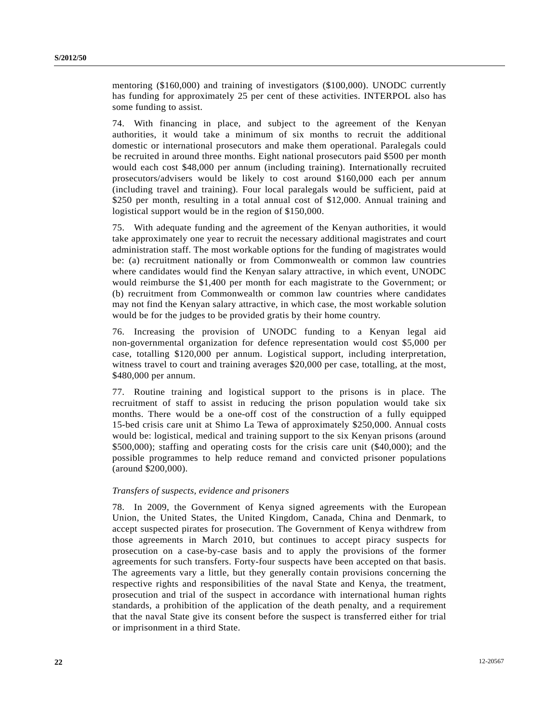mentoring (\$160,000) and training of investigators (\$100,000). UNODC currently has funding for approximately 25 per cent of these activities. INTERPOL also has some funding to assist.

74. With financing in place, and subject to the agreement of the Kenyan authorities, it would take a minimum of six months to recruit the additional domestic or international prosecutors and make them operational. Paralegals could be recruited in around three months. Eight national prosecutors paid \$500 per month would each cost \$48,000 per annum (including training). Internationally recruited prosecutors/advisers would be likely to cost around \$160,000 each per annum (including travel and training). Four local paralegals would be sufficient, paid at \$250 per month, resulting in a total annual cost of \$12,000. Annual training and logistical support would be in the region of \$150,000.

75. With adequate funding and the agreement of the Kenyan authorities, it would take approximately one year to recruit the necessary additional magistrates and court administration staff. The most workable options for the funding of magistrates would be: (a) recruitment nationally or from Commonwealth or common law countries where candidates would find the Kenyan salary attractive, in which event, UNODC would reimburse the \$1,400 per month for each magistrate to the Government; or (b) recruitment from Commonwealth or common law countries where candidates may not find the Kenyan salary attractive, in which case, the most workable solution would be for the judges to be provided gratis by their home country.

76. Increasing the provision of UNODC funding to a Kenyan legal aid non-governmental organization for defence representation would cost \$5,000 per case, totalling \$120,000 per annum. Logistical support, including interpretation, witness travel to court and training averages \$20,000 per case, totalling, at the most, \$480,000 per annum.

77. Routine training and logistical support to the prisons is in place. The recruitment of staff to assist in reducing the prison population would take six months. There would be a one-off cost of the construction of a fully equipped 15-bed crisis care unit at Shimo La Tewa of approximately \$250,000. Annual costs would be: logistical, medical and training support to the six Kenyan prisons (around \$500,000); staffing and operating costs for the crisis care unit (\$40,000); and the possible programmes to help reduce remand and convicted prisoner populations (around \$200,000).

## *Transfers of suspects, evidence and prisoners*

78. In 2009, the Government of Kenya signed agreements with the European Union, the United States, the United Kingdom, Canada, China and Denmark, to accept suspected pirates for prosecution. The Government of Kenya withdrew from those agreements in March 2010, but continues to accept piracy suspects for prosecution on a case-by-case basis and to apply the provisions of the former agreements for such transfers. Forty-four suspects have been accepted on that basis. The agreements vary a little, but they generally contain provisions concerning the respective rights and responsibilities of the naval State and Kenya, the treatment, prosecution and trial of the suspect in accordance with international human rights standards, a prohibition of the application of the death penalty, and a requirement that the naval State give its consent before the suspect is transferred either for trial or imprisonment in a third State.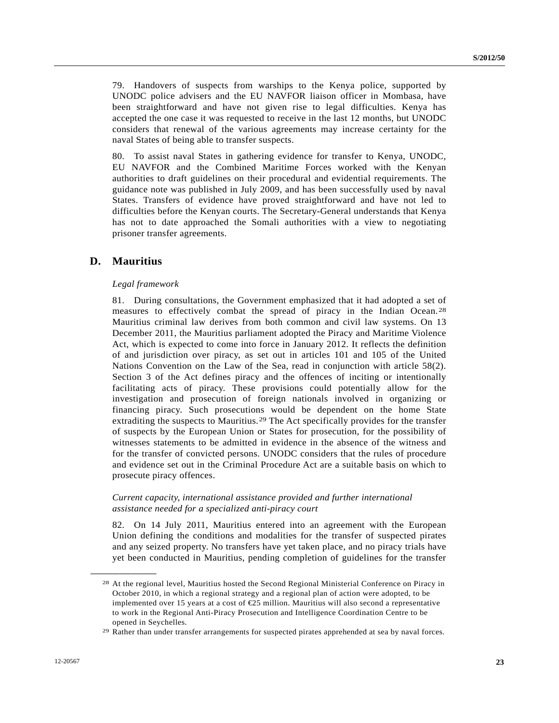79. Handovers of suspects from warships to the Kenya police, supported by UNODC police advisers and the EU NAVFOR liaison officer in Mombasa, have been straightforward and have not given rise to legal difficulties. Kenya has accepted the one case it was requested to receive in the last 12 months, but UNODC considers that renewal of the various agreements may increase certainty for the naval States of being able to transfer suspects.

80. To assist naval States in gathering evidence for transfer to Kenya, UNODC, EU NAVFOR and the Combined Maritime Forces worked with the Kenyan authorities to draft guidelines on their procedural and evidential requirements. The guidance note was published in July 2009, and has been successfully used by naval States. Transfers of evidence have proved straightforward and have not led to difficulties before the Kenyan courts. The Secretary-General understands that Kenya has not to date approached the Somali authorities with a view to negotiating prisoner transfer agreements.

## **D. Mauritius**

<span id="page-22-0"></span>**\_\_\_\_\_\_\_\_\_\_\_\_\_\_\_\_\_\_** 

#### *Legal framework*

81. During consultations, the Government emphasized that it had adopted a set of measures to effectively combat the spread of piracy in the Indian Ocean.[28](#page-22-0) Mauritius criminal law derives from both common and civil law systems. On 13 December 2011, the Mauritius parliament adopted the Piracy and Maritime Violence Act, which is expected to come into force in January 2012. It reflects the definition of and jurisdiction over piracy, as set out in articles 101 and 105 of the United Nations Convention on the Law of the Sea, read in conjunction with article 58(2). Section 3 of the Act defines piracy and the offences of inciting or intentionally facilitating acts of piracy. These provisions could potentially allow for the investigation and prosecution of foreign nationals involved in organizing or financing piracy. Such prosecutions would be dependent on the home State extraditing the suspects to Mauritius.<sup>[29](#page-22-1)</sup> The Act specifically provides for the transfer of suspects by the European Union or States for prosecution, for the possibility of witnesses statements to be admitted in evidence in the absence of the witness and for the transfer of convicted persons. UNODC considers that the rules of procedure and evidence set out in the Criminal Procedure Act are a suitable basis on which to prosecute piracy offences.

## *Current capacity, international assistance provided and further international assistance needed for a specialized anti-piracy court*

82. On 14 July 2011, Mauritius entered into an agreement with the European Union defining the conditions and modalities for the transfer of suspected pirates and any seized property. No transfers have yet taken place, and no piracy trials have yet been conducted in Mauritius, pending completion of guidelines for the transfer

<sup>28</sup> At the regional level, Mauritius hosted the Second Regional Ministerial Conference on Piracy in October 2010, in which a regional strategy and a regional plan of action were adopted, to be implemented over 15 years at a cost of €25 million. Mauritius will also second a representative to work in the Regional Anti-Piracy Prosecution and Intelligence Coordination Centre to be opened in Seychelles.

<span id="page-22-1"></span><sup>29</sup> Rather than under transfer arrangements for suspected pirates apprehended at sea by naval forces.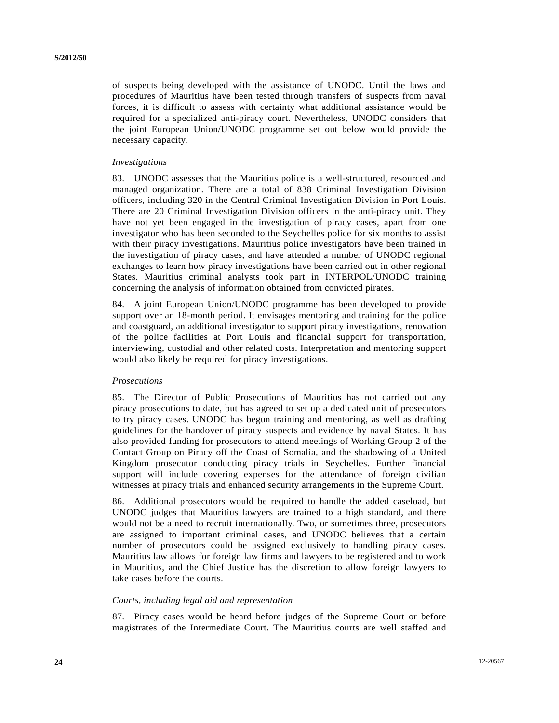of suspects being developed with the assistance of UNODC. Until the laws and procedures of Mauritius have been tested through transfers of suspects from naval forces, it is difficult to assess with certainty what additional assistance would be required for a specialized anti-piracy court. Nevertheless, UNODC considers that the joint European Union/UNODC programme set out below would provide the necessary capacity.

## *Investigations*

83. UNODC assesses that the Mauritius police is a well-structured, resourced and managed organization. There are a total of 838 Criminal Investigation Division officers, including 320 in the Central Criminal Investigation Division in Port Louis. There are 20 Criminal Investigation Division officers in the anti-piracy unit. They have not yet been engaged in the investigation of piracy cases, apart from one investigator who has been seconded to the Seychelles police for six months to assist with their piracy investigations. Mauritius police investigators have been trained in the investigation of piracy cases, and have attended a number of UNODC regional exchanges to learn how piracy investigations have been carried out in other regional States. Mauritius criminal analysts took part in INTERPOL/UNODC training concerning the analysis of information obtained from convicted pirates.

84. A joint European Union/UNODC programme has been developed to provide support over an 18-month period. It envisages mentoring and training for the police and coastguard, an additional investigator to support piracy investigations, renovation of the police facilities at Port Louis and financial support for transportation, interviewing, custodial and other related costs. Interpretation and mentoring support would also likely be required for piracy investigations.

### *Prosecutions*

85. The Director of Public Prosecutions of Mauritius has not carried out any piracy prosecutions to date, but has agreed to set up a dedicated unit of prosecutors to try piracy cases. UNODC has begun training and mentoring, as well as drafting guidelines for the handover of piracy suspects and evidence by naval States. It has also provided funding for prosecutors to attend meetings of Working Group 2 of the Contact Group on Piracy off the Coast of Somalia, and the shadowing of a United Kingdom prosecutor conducting piracy trials in Seychelles. Further financial support will include covering expenses for the attendance of foreign civilian witnesses at piracy trials and enhanced security arrangements in the Supreme Court.

86. Additional prosecutors would be required to handle the added caseload, but UNODC judges that Mauritius lawyers are trained to a high standard, and there would not be a need to recruit internationally. Two, or sometimes three, prosecutors are assigned to important criminal cases, and UNODC believes that a certain number of prosecutors could be assigned exclusively to handling piracy cases. Mauritius law allows for foreign law firms and lawyers to be registered and to work in Mauritius, and the Chief Justice has the discretion to allow foreign lawyers to take cases before the courts.

#### *Courts, including legal aid and representation*

87. Piracy cases would be heard before judges of the Supreme Court or before magistrates of the Intermediate Court. The Mauritius courts are well staffed and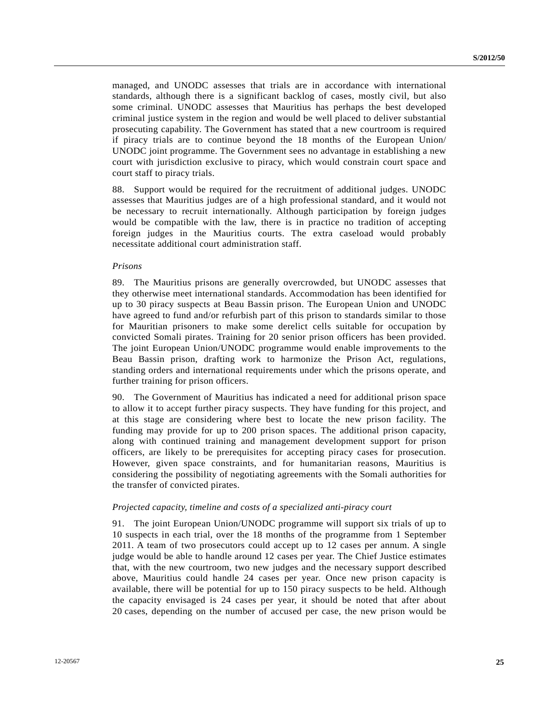managed, and UNODC assesses that trials are in accordance with international standards, although there is a significant backlog of cases, mostly civil, but also some criminal. UNODC assesses that Mauritius has perhaps the best developed criminal justice system in the region and would be well placed to deliver substantial prosecuting capability. The Government has stated that a new courtroom is required if piracy trials are to continue beyond the 18 months of the European Union/ UNODC joint programme. The Government sees no advantage in establishing a new court with jurisdiction exclusive to piracy, which would constrain court space and court staff to piracy trials.

88. Support would be required for the recruitment of additional judges. UNODC assesses that Mauritius judges are of a high professional standard, and it would not be necessary to recruit internationally. Although participation by foreign judges would be compatible with the law, there is in practice no tradition of accepting foreign judges in the Mauritius courts. The extra caseload would probably necessitate additional court administration staff.

#### *Prisons*

89. The Mauritius prisons are generally overcrowded, but UNODC assesses that they otherwise meet international standards. Accommodation has been identified for up to 30 piracy suspects at Beau Bassin prison. The European Union and UNODC have agreed to fund and/or refurbish part of this prison to standards similar to those for Mauritian prisoners to make some derelict cells suitable for occupation by convicted Somali pirates. Training for 20 senior prison officers has been provided. The joint European Union/UNODC programme would enable improvements to the Beau Bassin prison, drafting work to harmonize the Prison Act, regulations, standing orders and international requirements under which the prisons operate, and further training for prison officers.

90. The Government of Mauritius has indicated a need for additional prison space to allow it to accept further piracy suspects. They have funding for this project, and at this stage are considering where best to locate the new prison facility. The funding may provide for up to 200 prison spaces. The additional prison capacity, along with continued training and management development support for prison officers, are likely to be prerequisites for accepting piracy cases for prosecution. However, given space constraints, and for humanitarian reasons, Mauritius is considering the possibility of negotiating agreements with the Somali authorities for the transfer of convicted pirates.

### *Projected capacity, timeline and costs of a specialized anti-piracy court*

91. The joint European Union/UNODC programme will support six trials of up to 10 suspects in each trial, over the 18 months of the programme from 1 September 2011. A team of two prosecutors could accept up to 12 cases per annum. A single judge would be able to handle around 12 cases per year. The Chief Justice estimates that, with the new courtroom, two new judges and the necessary support described above, Mauritius could handle 24 cases per year. Once new prison capacity is available, there will be potential for up to 150 piracy suspects to be held. Although the capacity envisaged is 24 cases per year, it should be noted that after about 20 cases, depending on the number of accused per case, the new prison would be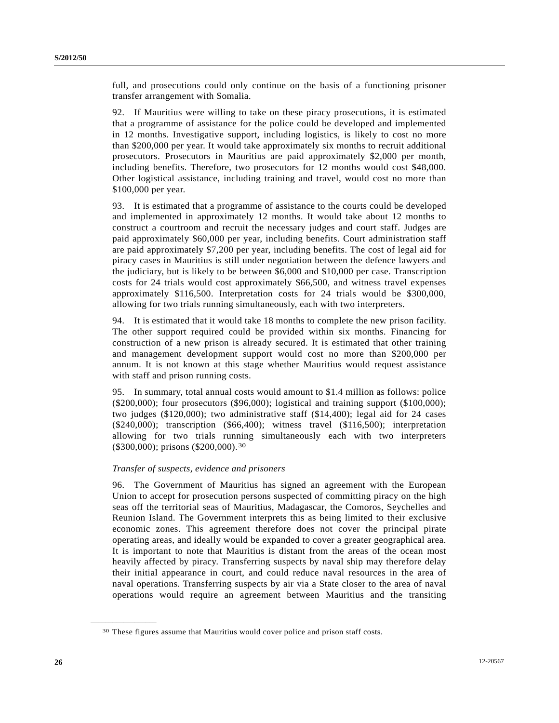full, and prosecutions could only continue on the basis of a functioning prisoner transfer arrangement with Somalia.

92. If Mauritius were willing to take on these piracy prosecutions, it is estimated that a programme of assistance for the police could be developed and implemented in 12 months. Investigative support, including logistics, is likely to cost no more than \$200,000 per year. It would take approximately six months to recruit additional prosecutors. Prosecutors in Mauritius are paid approximately \$2,000 per month, including benefits. Therefore, two prosecutors for 12 months would cost \$48,000. Other logistical assistance, including training and travel, would cost no more than \$100,000 per year.

93. It is estimated that a programme of assistance to the courts could be developed and implemented in approximately 12 months. It would take about 12 months to construct a courtroom and recruit the necessary judges and court staff. Judges are paid approximately \$60,000 per year, including benefits. Court administration staff are paid approximately \$7,200 per year, including benefits. The cost of legal aid for piracy cases in Mauritius is still under negotiation between the defence lawyers and the judiciary, but is likely to be between \$6,000 and \$10,000 per case. Transcription costs for 24 trials would cost approximately \$66,500, and witness travel expenses approximately \$116,500. Interpretation costs for 24 trials would be \$300,000, allowing for two trials running simultaneously, each with two interpreters.

94. It is estimated that it would take 18 months to complete the new prison facility. The other support required could be provided within six months. Financing for construction of a new prison is already secured. It is estimated that other training and management development support would cost no more than \$200,000 per annum. It is not known at this stage whether Mauritius would request assistance with staff and prison running costs.

95. In summary, total annual costs would amount to \$1.4 million as follows: police (\$200,000); four prosecutors (\$96,000); logistical and training support (\$100,000); two judges (\$120,000); two administrative staff (\$14,400); legal aid for 24 cases (\$240,000); transcription (\$66,400); witness travel (\$116,500); interpretation allowing for two trials running simultaneously each with two interpreters (\$300,000); prisons (\$200,000).[3](#page-25-0)0

## *Transfer of suspects, evidence and prisoners*

96. The Government of Mauritius has signed an agreement with the European Union to accept for prosecution persons suspected of committing piracy on the high seas off the territorial seas of Mauritius, Madagascar, the Comoros, Seychelles and Reunion Island. The Government interprets this as being limited to their exclusive economic zones. This agreement therefore does not cover the principal pirate operating areas, and ideally would be expanded to cover a greater geographical area. It is important to note that Mauritius is distant from the areas of the ocean most heavily affected by piracy. Transferring suspects by naval ship may therefore delay their initial appearance in court, and could reduce naval resources in the area of naval operations. Transferring suspects by air via a State closer to the area of naval operations would require an agreement between Mauritius and the transiting

<span id="page-25-0"></span><sup>30</sup> These figures assume that Mauritius would cover police and prison staff costs.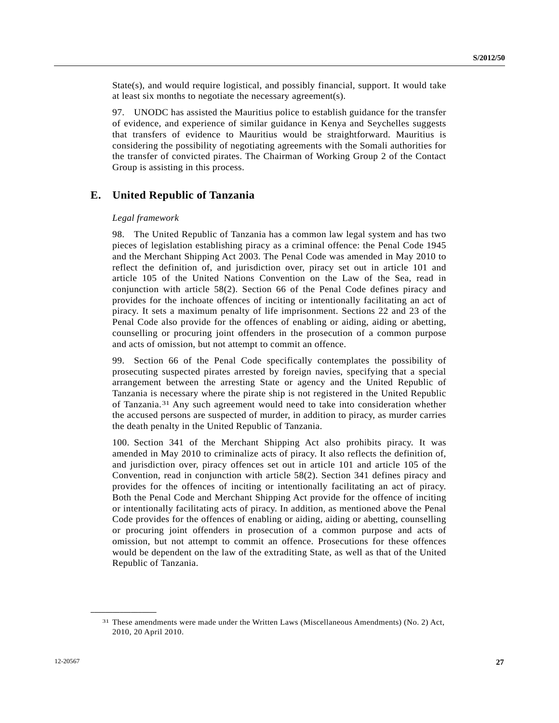$State(s)$ , and would require logistical, and possibly financial, support. It would take at least six months to negotiate the necessary agreement(s).

97. UNODC has assisted the Mauritius police to establish guidance for the transfer of evidence, and experience of similar guidance in Kenya and Seychelles suggests that transfers of evidence to Mauritius would be straightforward. Mauritius is considering the possibility of negotiating agreements with the Somali authorities for the transfer of convicted pirates. The Chairman of Working Group 2 of the Contact Group is assisting in this process.

## **E. United Republic of Tanzania**

#### *Legal framework*

98. The United Republic of Tanzania has a common law legal system and has two pieces of legislation establishing piracy as a criminal offence: the Penal Code 1945 and the Merchant Shipping Act 2003. The Penal Code was amended in May 2010 to reflect the definition of, and jurisdiction over, piracy set out in article 101 and article 105 of the United Nations Convention on the Law of the Sea, read in conjunction with article 58(2). Section 66 of the Penal Code defines piracy and provides for the inchoate offences of inciting or intentionally facilitating an act of piracy. It sets a maximum penalty of life imprisonment. Sections 22 and 23 of the Penal Code also provide for the offences of enabling or aiding, aiding or abetting, counselling or procuring joint offenders in the prosecution of a common purpose and acts of omission, but not attempt to commit an offence.

99. Section 66 of the Penal Code specifically contemplates the possibility of prosecuting suspected pirates arrested by foreign navies, specifying that a special arrangement between the arresting State or agency and the United Republic of Tanzania is necessary where the pirate ship is not registered in the United Republic of Tanzania.[31](#page-26-0) Any such agreement would need to take into consideration whether the accused persons are suspected of murder, in addition to piracy, as murder carries the death penalty in the United Republic of Tanzania.

100. Section 341 of the Merchant Shipping Act also prohibits piracy. It was amended in May 2010 to criminalize acts of piracy. It also reflects the definition of, and jurisdiction over, piracy offences set out in article 101 and article 105 of the Convention, read in conjunction with article 58(2). Section 341 defines piracy and provides for the offences of inciting or intentionally facilitating an act of piracy. Both the Penal Code and Merchant Shipping Act provide for the offence of inciting or intentionally facilitating acts of piracy. In addition, as mentioned above the Penal Code provides for the offences of enabling or aiding, aiding or abetting, counselling or procuring joint offenders in prosecution of a common purpose and acts of omission, but not attempt to commit an offence. Prosecutions for these offences would be dependent on the law of the extraditing State, as well as that of the United Republic of Tanzania.

<span id="page-26-0"></span><sup>31</sup> These amendments were made under the Written Laws (Miscellaneous Amendments) (No. 2) Act, 2010, 20 April 2010.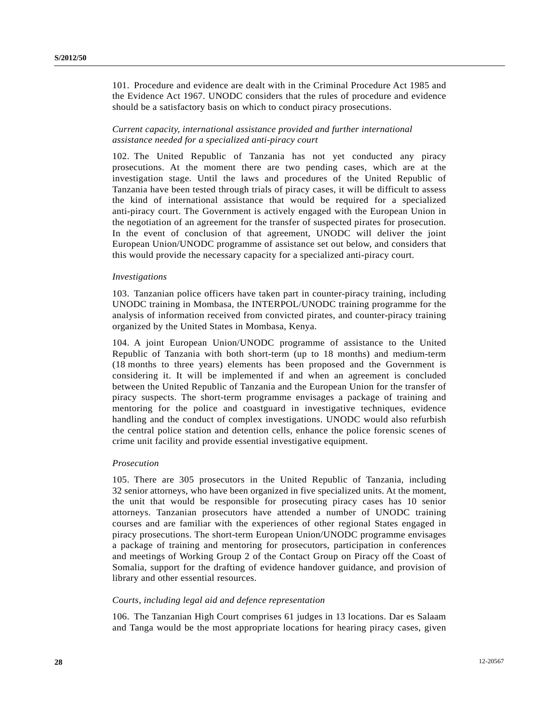101. Procedure and evidence are dealt with in the Criminal Procedure Act 1985 and the Evidence Act 1967. UNODC considers that the rules of procedure and evidence should be a satisfactory basis on which to conduct piracy prosecutions.

## *Current capacity, international assistance provided and further international assistance needed for a specialized anti-piracy court*

102. The United Republic of Tanzania has not yet conducted any piracy prosecutions. At the moment there are two pending cases, which are at the investigation stage. Until the laws and procedures of the United Republic of Tanzania have been tested through trials of piracy cases, it will be difficult to assess the kind of international assistance that would be required for a specialized anti-piracy court. The Government is actively engaged with the European Union in the negotiation of an agreement for the transfer of suspected pirates for prosecution. In the event of conclusion of that agreement, UNODC will deliver the joint European Union/UNODC programme of assistance set out below, and considers that this would provide the necessary capacity for a specialized anti-piracy court.

## *Investigations*

103. Tanzanian police officers have taken part in counter-piracy training, including UNODC training in Mombasa, the INTERPOL/UNODC training programme for the analysis of information received from convicted pirates, and counter-piracy training organized by the United States in Mombasa, Kenya.

104. A joint European Union/UNODC programme of assistance to the United Republic of Tanzania with both short-term (up to 18 months) and medium-term (18 months to three years) elements has been proposed and the Government is considering it. It will be implemented if and when an agreement is concluded between the United Republic of Tanzania and the European Union for the transfer of piracy suspects. The short-term programme envisages a package of training and mentoring for the police and coastguard in investigative techniques, evidence handling and the conduct of complex investigations. UNODC would also refurbish the central police station and detention cells, enhance the police forensic scenes of crime unit facility and provide essential investigative equipment.

#### *Prosecution*

105. There are 305 prosecutors in the United Republic of Tanzania, including 32 senior attorneys, who have been organized in five specialized units. At the moment, the unit that would be responsible for prosecuting piracy cases has 10 senior attorneys. Tanzanian prosecutors have attended a number of UNODC training courses and are familiar with the experiences of other regional States engaged in piracy prosecutions. The short-term European Union/UNODC programme envisages a package of training and mentoring for prosecutors, participation in conferences and meetings of Working Group 2 of the Contact Group on Piracy off the Coast of Somalia, support for the drafting of evidence handover guidance, and provision of library and other essential resources.

## *Courts, including legal aid and defence representation*

106. The Tanzanian High Court comprises 61 judges in 13 locations. Dar es Salaam and Tanga would be the most appropriate locations for hearing piracy cases, given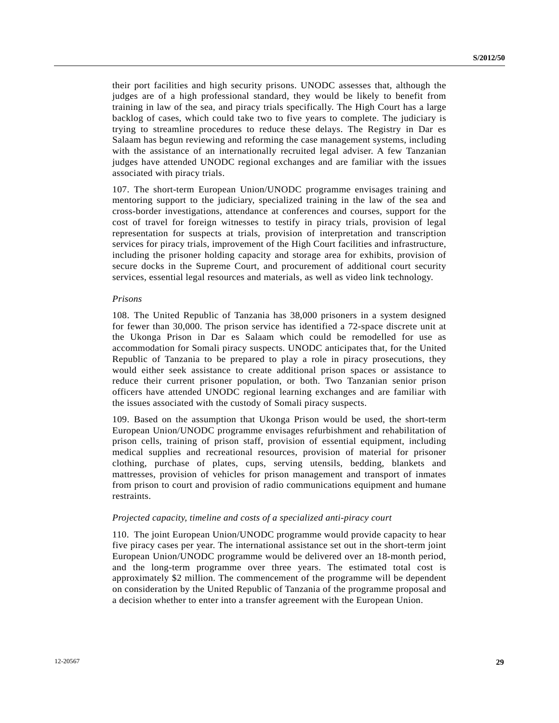their port facilities and high security prisons. UNODC assesses that, although the judges are of a high professional standard, they would be likely to benefit from training in law of the sea, and piracy trials specifically. The High Court has a large backlog of cases, which could take two to five years to complete. The judiciary is trying to streamline procedures to reduce these delays. The Registry in Dar es Salaam has begun reviewing and reforming the case management systems, including with the assistance of an internationally recruited legal adviser. A few Tanzanian judges have attended UNODC regional exchanges and are familiar with the issues associated with piracy trials.

107. The short-term European Union/UNODC programme envisages training and mentoring support to the judiciary, specialized training in the law of the sea and cross-border investigations, attendance at conferences and courses, support for the cost of travel for foreign witnesses to testify in piracy trials, provision of legal representation for suspects at trials, provision of interpretation and transcription services for piracy trials, improvement of the High Court facilities and infrastructure, including the prisoner holding capacity and storage area for exhibits, provision of secure docks in the Supreme Court, and procurement of additional court security services, essential legal resources and materials, as well as video link technology.

#### *Prisons*

108. The United Republic of Tanzania has 38,000 prisoners in a system designed for fewer than 30,000. The prison service has identified a 72-space discrete unit at the Ukonga Prison in Dar es Salaam which could be remodelled for use as accommodation for Somali piracy suspects. UNODC anticipates that, for the United Republic of Tanzania to be prepared to play a role in piracy prosecutions, they would either seek assistance to create additional prison spaces or assistance to reduce their current prisoner population, or both. Two Tanzanian senior prison officers have attended UNODC regional learning exchanges and are familiar with the issues associated with the custody of Somali piracy suspects.

109. Based on the assumption that Ukonga Prison would be used, the short-term European Union/UNODC programme envisages refurbishment and rehabilitation of prison cells, training of prison staff, provision of essential equipment, including medical supplies and recreational resources, provision of material for prisoner clothing, purchase of plates, cups, serving utensils, bedding, blankets and mattresses, provision of vehicles for prison management and transport of inmates from prison to court and provision of radio communications equipment and humane restraints.

### *Projected capacity, timeline and costs of a specialized anti-piracy court*

110. The joint European Union/UNODC programme would provide capacity to hear five piracy cases per year. The international assistance set out in the short-term joint European Union/UNODC programme would be delivered over an 18-month period, and the long-term programme over three years. The estimated total cost is approximately \$2 million. The commencement of the programme will be dependent on consideration by the United Republic of Tanzania of the programme proposal and a decision whether to enter into a transfer agreement with the European Union.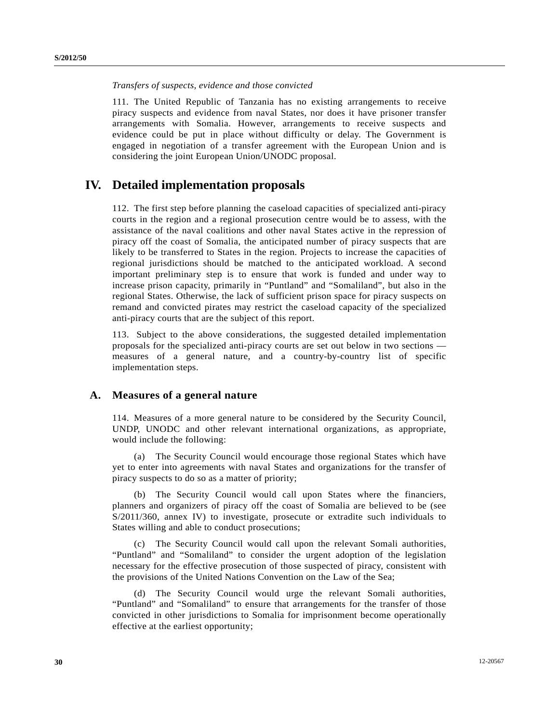## *Transfers of suspects, evidence and those convicted*

111. The United Republic of Tanzania has no existing arrangements to receive piracy suspects and evidence from naval States, nor does it have prisoner transfer arrangements with Somalia. However, arrangements to receive suspects and evidence could be put in place without difficulty or delay. The Government is engaged in negotiation of a transfer agreement with the European Union and is considering the joint European Union/UNODC proposal.

# **IV. Detailed implementation proposals**

112. The first step before planning the caseload capacities of specialized anti-piracy courts in the region and a regional prosecution centre would be to assess, with the assistance of the naval coalitions and other naval States active in the repression of piracy off the coast of Somalia, the anticipated number of piracy suspects that are likely to be transferred to States in the region. Projects to increase the capacities of regional jurisdictions should be matched to the anticipated workload. A second important preliminary step is to ensure that work is funded and under way to increase prison capacity, primarily in "Puntland" and "Somaliland", but also in the regional States. Otherwise, the lack of sufficient prison space for piracy suspects on remand and convicted pirates may restrict the caseload capacity of the specialized anti-piracy courts that are the subject of this report.

113. Subject to the above considerations, the suggested detailed implementation proposals for the specialized anti-piracy courts are set out below in two sections measures of a general nature, and a country-by-country list of specific implementation steps.

## **A. Measures of a general nature**

114. Measures of a more general nature to be considered by the Security Council, UNDP, UNODC and other relevant international organizations, as appropriate, would include the following:

 (a) The Security Council would encourage those regional States which have yet to enter into agreements with naval States and organizations for the transfer of piracy suspects to do so as a matter of priority;

 (b) The Security Council would call upon States where the financiers, planners and organizers of piracy off the coast of Somalia are believed to be (see S/2011/360, annex IV) to investigate, prosecute or extradite such individuals to States willing and able to conduct prosecutions;

 (c) The Security Council would call upon the relevant Somali authorities, "Puntland" and "Somaliland" to consider the urgent adoption of the legislation necessary for the effective prosecution of those suspected of piracy, consistent with the provisions of the United Nations Convention on the Law of the Sea;

 (d) The Security Council would urge the relevant Somali authorities, "Puntland" and "Somaliland" to ensure that arrangements for the transfer of those convicted in other jurisdictions to Somalia for imprisonment become operationally effective at the earliest opportunity;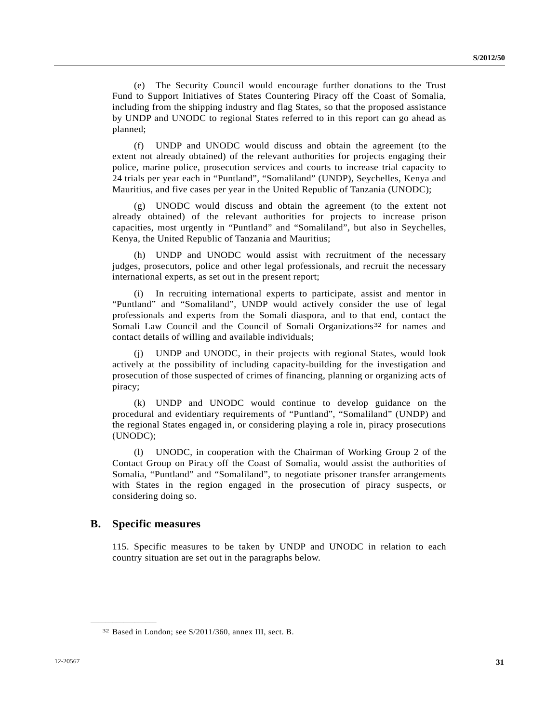(e) The Security Council would encourage further donations to the Trust Fund to Support Initiatives of States Countering Piracy off the Coast of Somalia, including from the shipping industry and flag States, so that the proposed assistance by UNDP and UNODC to regional States referred to in this report can go ahead as planned;

 (f) UNDP and UNODC would discuss and obtain the agreement (to the extent not already obtained) of the relevant authorities for projects engaging their police, marine police, prosecution services and courts to increase trial capacity to 24 trials per year each in "Puntland", "Somaliland" (UNDP), Seychelles, Kenya and Mauritius, and five cases per year in the United Republic of Tanzania (UNODC);

 (g) UNODC would discuss and obtain the agreement (to the extent not already obtained) of the relevant authorities for projects to increase prison capacities, most urgently in "Puntland" and "Somaliland", but also in Seychelles, Kenya, the United Republic of Tanzania and Mauritius;

 (h) UNDP and UNODC would assist with recruitment of the necessary judges, prosecutors, police and other legal professionals, and recruit the necessary international experts, as set out in the present report;

 (i) In recruiting international experts to participate, assist and mentor in "Puntland" and "Somaliland", UNDP would actively consider the use of legal professionals and experts from the Somali diaspora, and to that end, contact the Somali Law Council and the Council of Somali Organizations<sup>[32](#page-30-0)</sup> for names and contact details of willing and available individuals;

UNDP and UNODC, in their projects with regional States, would look actively at the possibility of including capacity-building for the investigation and prosecution of those suspected of crimes of financing, planning or organizing acts of piracy;

 (k) UNDP and UNODC would continue to develop guidance on the procedural and evidentiary requirements of "Puntland", "Somaliland" (UNDP) and the regional States engaged in, or considering playing a role in, piracy prosecutions (UNODC);

 (l) UNODC, in cooperation with the Chairman of Working Group 2 of the Contact Group on Piracy off the Coast of Somalia, would assist the authorities of Somalia, "Puntland" and "Somaliland", to negotiate prisoner transfer arrangements with States in the region engaged in the prosecution of piracy suspects, or considering doing so.

## **B. Specific measures**

<span id="page-30-0"></span>**\_\_\_\_\_\_\_\_\_\_\_\_\_\_\_\_\_\_** 

115. Specific measures to be taken by UNDP and UNODC in relation to each country situation are set out in the paragraphs below.

<sup>32</sup> Based in London; see S/2011/360, annex III, sect. B.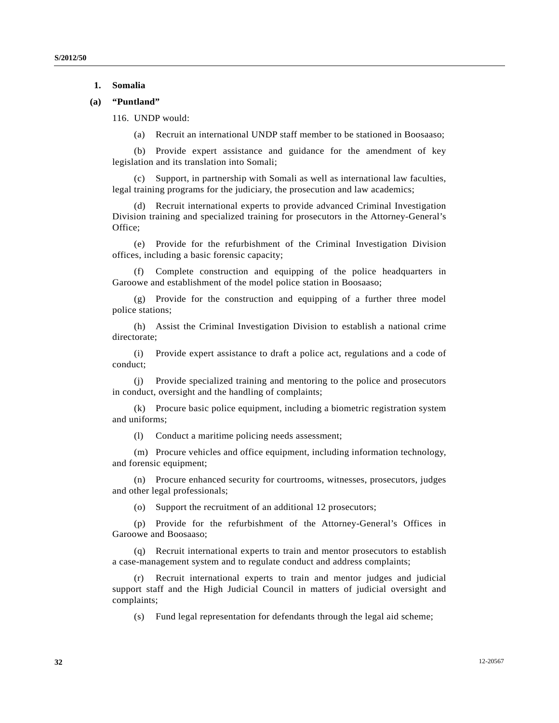## **1. Somalia**

## **(a) "Puntland"**

116. UNDP would:

(a) Recruit an international UNDP staff member to be stationed in Boosaaso;

 (b) Provide expert assistance and guidance for the amendment of key legislation and its translation into Somali;

 (c) Support, in partnership with Somali as well as international law faculties, legal training programs for the judiciary, the prosecution and law academics;

 (d) Recruit international experts to provide advanced Criminal Investigation Division training and specialized training for prosecutors in the Attorney-General's Office;

 (e) Provide for the refurbishment of the Criminal Investigation Division offices, including a basic forensic capacity;

Complete construction and equipping of the police headquarters in Garoowe and establishment of the model police station in Boosaaso;

 (g) Provide for the construction and equipping of a further three model police stations;

 (h) Assist the Criminal Investigation Division to establish a national crime directorate;

 (i) Provide expert assistance to draft a police act, regulations and a code of conduct;

 (j) Provide specialized training and mentoring to the police and prosecutors in conduct, oversight and the handling of complaints;

 (k) Procure basic police equipment, including a biometric registration system and uniforms;

(l) Conduct a maritime policing needs assessment;

 (m) Procure vehicles and office equipment, including information technology, and forensic equipment;

 (n) Procure enhanced security for courtrooms, witnesses, prosecutors, judges and other legal professionals;

(o) Support the recruitment of an additional 12 prosecutors;

 (p) Provide for the refurbishment of the Attorney-General's Offices in Garoowe and Boosaaso;

 (q) Recruit international experts to train and mentor prosecutors to establish a case-management system and to regulate conduct and address complaints;

Recruit international experts to train and mentor judges and judicial support staff and the High Judicial Council in matters of judicial oversight and complaints;

(s) Fund legal representation for defendants through the legal aid scheme;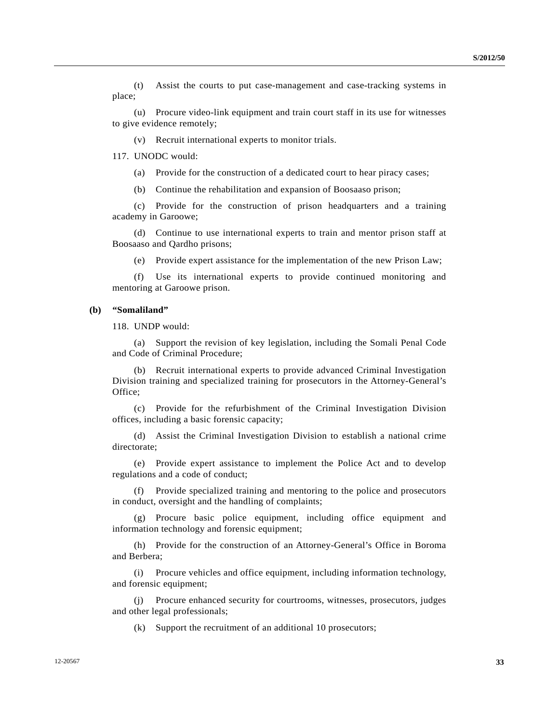(t) Assist the courts to put case-management and case-tracking systems in place;

 (u) Procure video-link equipment and train court staff in its use for witnesses to give evidence remotely;

(v) Recruit international experts to monitor trials.

117. UNODC would:

(a) Provide for the construction of a dedicated court to hear piracy cases;

(b) Continue the rehabilitation and expansion of Boosaaso prison;

 (c) Provide for the construction of prison headquarters and a training academy in Garoowe;

 (d) Continue to use international experts to train and mentor prison staff at Boosaaso and Qardho prisons;

(e) Provide expert assistance for the implementation of the new Prison Law;

 (f) Use its international experts to provide continued monitoring and mentoring at Garoowe prison.

#### **(b) "Somaliland"**

118. UNDP would:

 (a) Support the revision of key legislation, including the Somali Penal Code and Code of Criminal Procedure;

 (b) Recruit international experts to provide advanced Criminal Investigation Division training and specialized training for prosecutors in the Attorney-General's Office;

 (c) Provide for the refurbishment of the Criminal Investigation Division offices, including a basic forensic capacity;

 (d) Assist the Criminal Investigation Division to establish a national crime directorate;

 (e) Provide expert assistance to implement the Police Act and to develop regulations and a code of conduct;

 (f) Provide specialized training and mentoring to the police and prosecutors in conduct, oversight and the handling of complaints;

 (g) Procure basic police equipment, including office equipment and information technology and forensic equipment;

 (h) Provide for the construction of an Attorney-General's Office in Boroma and Berbera;

 (i) Procure vehicles and office equipment, including information technology, and forensic equipment;

 (j) Procure enhanced security for courtrooms, witnesses, prosecutors, judges and other legal professionals;

(k) Support the recruitment of an additional 10 prosecutors;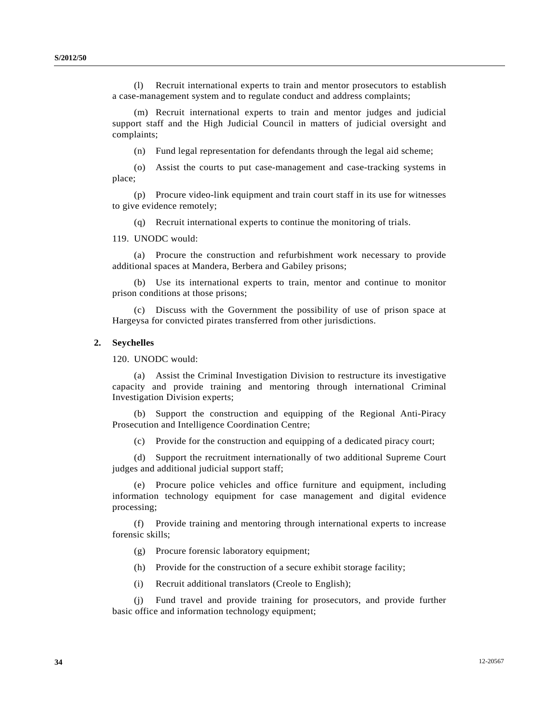(l) Recruit international experts to train and mentor prosecutors to establish a case-management system and to regulate conduct and address complaints;

 (m) Recruit international experts to train and mentor judges and judicial support staff and the High Judicial Council in matters of judicial oversight and complaints;

(n) Fund legal representation for defendants through the legal aid scheme;

 (o) Assist the courts to put case-management and case-tracking systems in place;

 (p) Procure video-link equipment and train court staff in its use for witnesses to give evidence remotely;

(q) Recruit international experts to continue the monitoring of trials.

119. UNODC would:

 (a) Procure the construction and refurbishment work necessary to provide additional spaces at Mandera, Berbera and Gabiley prisons;

 (b) Use its international experts to train, mentor and continue to monitor prison conditions at those prisons;

 (c) Discuss with the Government the possibility of use of prison space at Hargeysa for convicted pirates transferred from other jurisdictions.

#### **2. Seychelles**

120. UNODC would:

 (a) Assist the Criminal Investigation Division to restructure its investigative capacity and provide training and mentoring through international Criminal Investigation Division experts;

 (b) Support the construction and equipping of the Regional Anti-Piracy Prosecution and Intelligence Coordination Centre;

(c) Provide for the construction and equipping of a dedicated piracy court;

 (d) Support the recruitment internationally of two additional Supreme Court judges and additional judicial support staff;

 (e) Procure police vehicles and office furniture and equipment, including information technology equipment for case management and digital evidence processing;

 (f) Provide training and mentoring through international experts to increase forensic skills;

- (g) Procure forensic laboratory equipment;
- (h) Provide for the construction of a secure exhibit storage facility;
- (i) Recruit additional translators (Creole to English);

 (j) Fund travel and provide training for prosecutors, and provide further basic office and information technology equipment;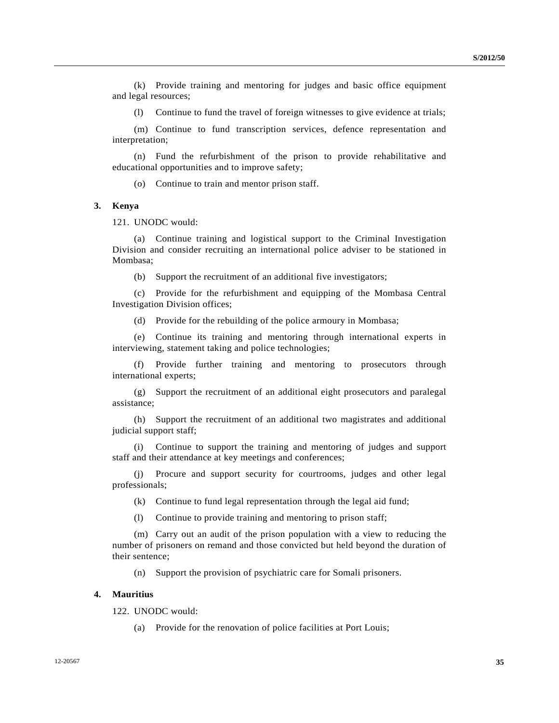(k) Provide training and mentoring for judges and basic office equipment and legal resources;

(l) Continue to fund the travel of foreign witnesses to give evidence at trials;

 (m) Continue to fund transcription services, defence representation and interpretation;

 (n) Fund the refurbishment of the prison to provide rehabilitative and educational opportunities and to improve safety;

(o) Continue to train and mentor prison staff.

#### **3. Kenya**

121. UNODC would:

 (a) Continue training and logistical support to the Criminal Investigation Division and consider recruiting an international police adviser to be stationed in Mombasa;

(b) Support the recruitment of an additional five investigators;

 (c) Provide for the refurbishment and equipping of the Mombasa Central Investigation Division offices;

(d) Provide for the rebuilding of the police armoury in Mombasa;

 (e) Continue its training and mentoring through international experts in interviewing, statement taking and police technologies;

 (f) Provide further training and mentoring to prosecutors through international experts;

 (g) Support the recruitment of an additional eight prosecutors and paralegal assistance;

 (h) Support the recruitment of an additional two magistrates and additional judicial support staff;

 (i) Continue to support the training and mentoring of judges and support staff and their attendance at key meetings and conferences;

 (j) Procure and support security for courtrooms, judges and other legal professionals;

(k) Continue to fund legal representation through the legal aid fund;

(l) Continue to provide training and mentoring to prison staff;

 (m) Carry out an audit of the prison population with a view to reducing the number of prisoners on remand and those convicted but held beyond the duration of their sentence;

(n) Support the provision of psychiatric care for Somali prisoners.

#### **4. Mauritius**

122. UNODC would:

(a) Provide for the renovation of police facilities at Port Louis;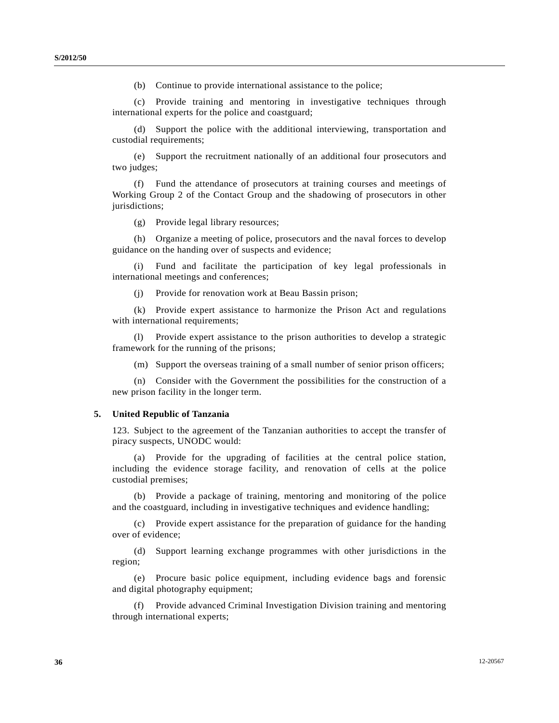(b) Continue to provide international assistance to the police;

 (c) Provide training and mentoring in investigative techniques through international experts for the police and coastguard;

 (d) Support the police with the additional interviewing, transportation and custodial requirements;

 (e) Support the recruitment nationally of an additional four prosecutors and two judges;

 (f) Fund the attendance of prosecutors at training courses and meetings of Working Group 2 of the Contact Group and the shadowing of prosecutors in other jurisdictions;

(g) Provide legal library resources;

 (h) Organize a meeting of police, prosecutors and the naval forces to develop guidance on the handing over of suspects and evidence;

 (i) Fund and facilitate the participation of key legal professionals in international meetings and conferences;

(j) Provide for renovation work at Beau Bassin prison;

 (k) Provide expert assistance to harmonize the Prison Act and regulations with international requirements;

 (l) Provide expert assistance to the prison authorities to develop a strategic framework for the running of the prisons;

(m) Support the overseas training of a small number of senior prison officers;

 (n) Consider with the Government the possibilities for the construction of a new prison facility in the longer term.

#### **5. United Republic of Tanzania**

123. Subject to the agreement of the Tanzanian authorities to accept the transfer of piracy suspects, UNODC would:

 (a) Provide for the upgrading of facilities at the central police station, including the evidence storage facility, and renovation of cells at the police custodial premises;

 (b) Provide a package of training, mentoring and monitoring of the police and the coastguard, including in investigative techniques and evidence handling;

 (c) Provide expert assistance for the preparation of guidance for the handing over of evidence;

 (d) Support learning exchange programmes with other jurisdictions in the region;

 (e) Procure basic police equipment, including evidence bags and forensic and digital photography equipment;

 (f) Provide advanced Criminal Investigation Division training and mentoring through international experts;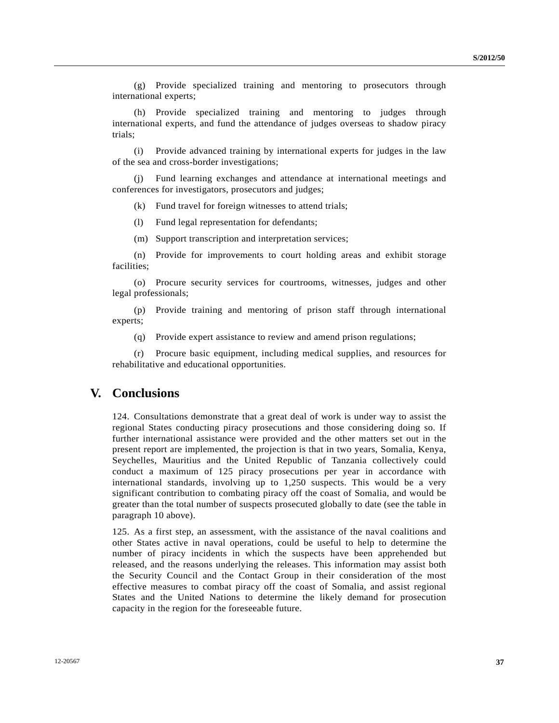(g) Provide specialized training and mentoring to prosecutors through international experts;

 (h) Provide specialized training and mentoring to judges through international experts, and fund the attendance of judges overseas to shadow piracy trials;

 (i) Provide advanced training by international experts for judges in the law of the sea and cross-border investigations;

 (j) Fund learning exchanges and attendance at international meetings and conferences for investigators, prosecutors and judges;

(k) Fund travel for foreign witnesses to attend trials;

(l) Fund legal representation for defendants;

(m) Support transcription and interpretation services;

 (n) Provide for improvements to court holding areas and exhibit storage facilities;

 (o) Procure security services for courtrooms, witnesses, judges and other legal professionals;

 (p) Provide training and mentoring of prison staff through international experts;

(q) Provide expert assistance to review and amend prison regulations;

 (r) Procure basic equipment, including medical supplies, and resources for rehabilitative and educational opportunities.

## **V. Conclusions**

124. Consultations demonstrate that a great deal of work is under way to assist the regional States conducting piracy prosecutions and those considering doing so. If further international assistance were provided and the other matters set out in the present report are implemented, the projection is that in two years, Somalia, Kenya, Seychelles, Mauritius and the United Republic of Tanzania collectively could conduct a maximum of 125 piracy prosecutions per year in accordance with international standards, involving up to 1,250 suspects. This would be a very significant contribution to combating piracy off the coast of Somalia, and would be greater than the total number of suspects prosecuted globally to date (see the table in paragraph 10 above).

125. As a first step, an assessment, with the assistance of the naval coalitions and other States active in naval operations, could be useful to help to determine the number of piracy incidents in which the suspects have been apprehended but released, and the reasons underlying the releases. This information may assist both the Security Council and the Contact Group in their consideration of the most effective measures to combat piracy off the coast of Somalia, and assist regional States and the United Nations to determine the likely demand for prosecution capacity in the region for the foreseeable future.